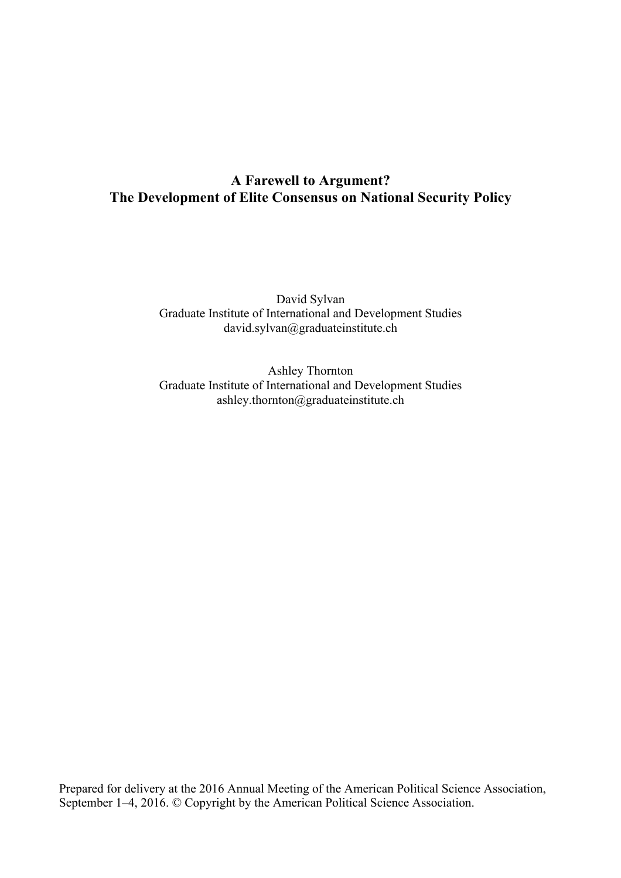# **A Farewell to Argument? The Development of Elite Consensus on National Security Policy**

David Sylvan Graduate Institute of International and Development Studies david.sylvan@graduateinstitute.ch

Ashley Thornton Graduate Institute of International and Development Studies ashley.thornton@graduateinstitute.ch

Prepared for delivery at the 2016 Annual Meeting of the American Political Science Association, September 1–4, 2016. © Copyright by the American Political Science Association.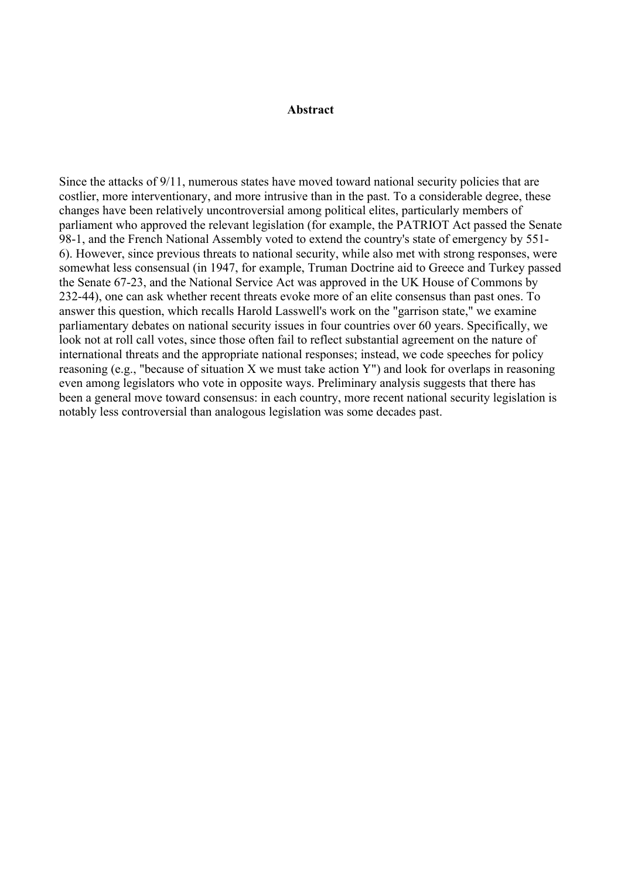#### **Abstract**

Since the attacks of 9/11, numerous states have moved toward national security policies that are costlier, more interventionary, and more intrusive than in the past. To a considerable degree, these changes have been relatively uncontroversial among political elites, particularly members of parliament who approved the relevant legislation (for example, the PATRIOT Act passed the Senate 98-1, and the French National Assembly voted to extend the country's state of emergency by 551- 6). However, since previous threats to national security, while also met with strong responses, were somewhat less consensual (in 1947, for example, Truman Doctrine aid to Greece and Turkey passed the Senate 67-23, and the National Service Act was approved in the UK House of Commons by 232-44), one can ask whether recent threats evoke more of an elite consensus than past ones. To answer this question, which recalls Harold Lasswell's work on the "garrison state," we examine parliamentary debates on national security issues in four countries over 60 years. Specifically, we look not at roll call votes, since those often fail to reflect substantial agreement on the nature of international threats and the appropriate national responses; instead, we code speeches for policy reasoning (e.g., "because of situation X we must take action Y") and look for overlaps in reasoning even among legislators who vote in opposite ways. Preliminary analysis suggests that there has been a general move toward consensus: in each country, more recent national security legislation is notably less controversial than analogous legislation was some decades past.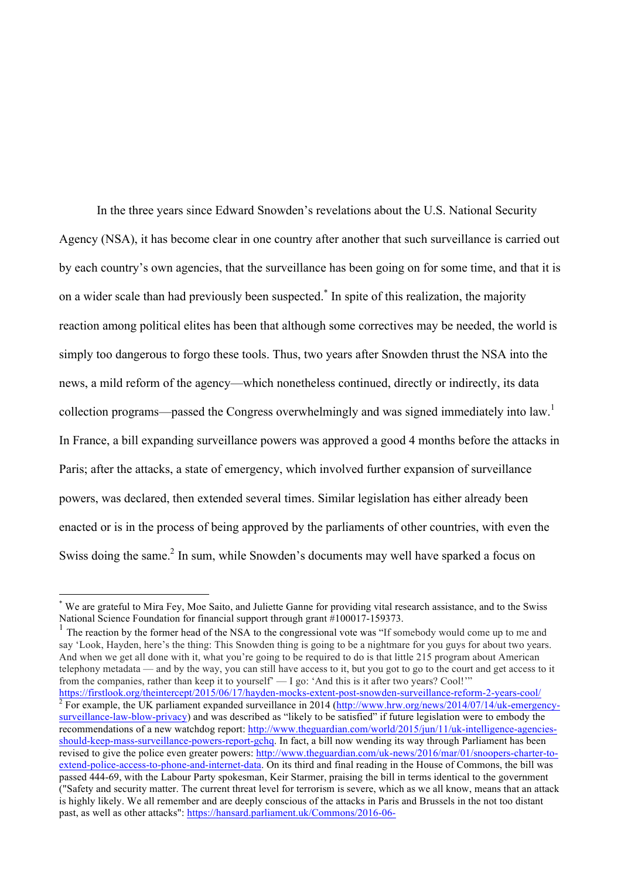In the three years since Edward Snowden's revelations about the U.S. National Security Agency (NSA), it has become clear in one country after another that such surveillance is carried out by each country's own agencies, that the surveillance has been going on for some time, and that it is on a wider scale than had previously been suspected.\* In spite of this realization, the majority reaction among political elites has been that although some correctives may be needed, the world is simply too dangerous to forgo these tools. Thus, two years after Snowden thrust the NSA into the news, a mild reform of the agency—which nonetheless continued, directly or indirectly, its data collection programs—passed the Congress overwhelmingly and was signed immediately into law.<sup>1</sup> In France, a bill expanding surveillance powers was approved a good 4 months before the attacks in Paris; after the attacks, a state of emergency, which involved further expansion of surveillance powers, was declared, then extended several times. Similar legislation has either already been enacted or is in the process of being approved by the parliaments of other countries, with even the Swiss doing the same.<sup>2</sup> In sum, while Snowden's documents may well have sparked a focus on

 $<sup>1</sup>$  The reaction by the former head of the NSA to the congressional vote was "If somebody would come up to me and</sup> say 'Look, Hayden, here's the thing: This Snowden thing is going to be a nightmare for you guys for about two years. And when we get all done with it, what you're going to be required to do is that little 215 program about American telephony metadata — and by the way, you can still have access to it, but you got to go to the court and get access to it from the companies, rather than keep it to yourself' — I go: 'And this is it after two years? Cool!'"<br>https://firstlook.org/theintercept/2015/06/17/hayden-mocks-extent-post-snowden-surveillance-reform-2-years-cool/

We are grateful to Mira Fey, Moe Saito, and Juliette Ganne for providing vital research assistance, and to the Swiss National Science Foundation for financial support through grant #100017-159373.

 $\frac{1}{2}$  For example, the UK parliament expanded surveillance in 2014 (http://www.hrw.org/news/2014/07/14/uk-emergencysurveillance-law-blow-privacy) and was described as "likely to be satisfied" if future legislation were to embody the recommendations of a new watchdog report: http://www.theguardian.com/world/2015/jun/11/uk-intelligence-agenciesshould-keep-mass-surveillance-powers-report-gchq. In fact, a bill now wending its way through Parliament has been revised to give the police even greater powers: http://www.theguardian.com/uk-news/2016/mar/01/snoopers-charter-toextend-police-access-to-phone-and-internet-data. On its third and final reading in the House of Commons, the bill was passed 444-69, with the Labour Party spokesman, Keir Starmer, praising the bill in terms identical to the government ("Safety and security matter. The current threat level for terrorism is severe, which as we all know, means that an attack is highly likely. We all remember and are deeply conscious of the attacks in Paris and Brussels in the not too distant past, as well as other attacks": https://hansard.parliament.uk/Commons/2016-06-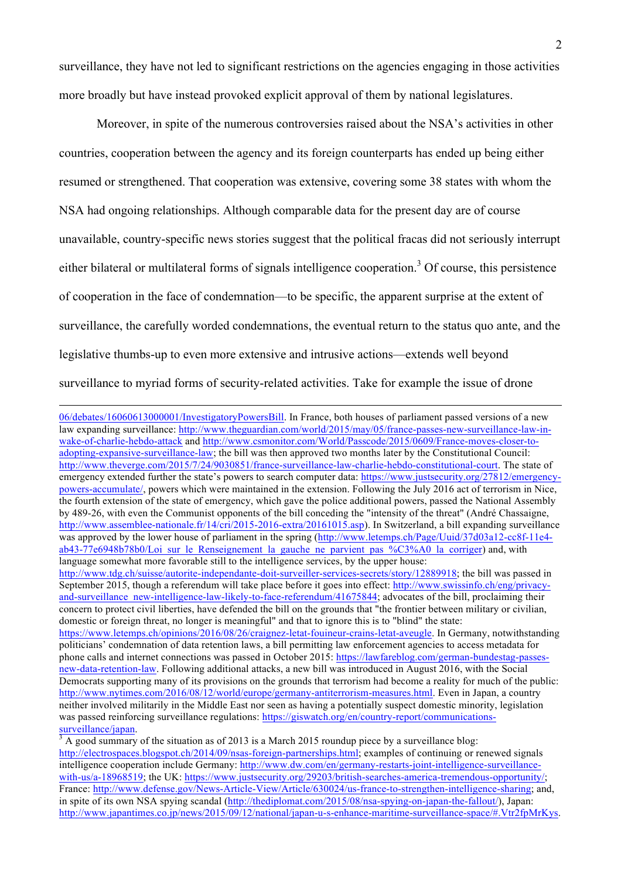surveillance, they have not led to significant restrictions on the agencies engaging in those activities more broadly but have instead provoked explicit approval of them by national legislatures.

Moreover, in spite of the numerous controversies raised about the NSA's activities in other countries, cooperation between the agency and its foreign counterparts has ended up being either resumed or strengthened. That cooperation was extensive, covering some 38 states with whom the NSA had ongoing relationships. Although comparable data for the present day are of course unavailable, country-specific news stories suggest that the political fracas did not seriously interrupt either bilateral or multilateral forms of signals intelligence cooperation.<sup>3</sup> Of course, this persistence of cooperation in the face of condemnation—to be specific, the apparent surprise at the extent of surveillance, the carefully worded condemnations, the eventual return to the status quo ante, and the legislative thumbs-up to even more extensive and intrusive actions—extends well beyond surveillance to myriad forms of security-related activities. Take for example the issue of drone

 06/debates/16060613000001/InvestigatoryPowersBill. In France, both houses of parliament passed versions of a new law expanding surveillance: http://www.theguardian.com/world/2015/may/05/france-passes-new-surveillance-law-inwake-of-charlie-hebdo-attack and http://www.csmonitor.com/World/Passcode/2015/0609/France-moves-closer-toadopting-expansive-surveillance-law; the bill was then approved two months later by the Constitutional Council: http://www.theverge.com/2015/7/24/9030851/france-surveillance-law-charlie-hebdo-constitutional-court. The state of emergency extended further the state's powers to search computer data: https://www.justsecurity.org/27812/emergencypowers-accumulate/, powers which were maintained in the extension. Following the July 2016 act of terrorism in Nice, the fourth extension of the state of emergency, which gave the police additional powers, passed the National Assembly by 489-26, with even the Communist opponents of the bill conceding the "intensity of the threat" (André Chassaigne, http://www.assemblee-nationale.fr/14/cri/2015-2016-extra/20161015.asp). In Switzerland, a bill expanding surveillance was approved by the lower house of parliament in the spring (http://www.letemps.ch/Page/Uuid/37d03a12-cc8f-11e4ab43-77e6948b78b0/Loi sur le Renseignement la gauche ne parvient pas %C3%A0 la corriger) and, with language somewhat more favorable still to the intelligence services, by the upper house: http://www.tdg.ch/suisse/autorite-independante-doit-surveiller-services-secrets/story/12889918; the bill was passed in September 2015, though a referendum will take place before it goes into effect: http://www.swissinfo.ch/eng/privacyand-surveillance\_new-intelligence-law-likely-to-face-referendum/41675844; advocates of the bill, proclaiming their concern to protect civil liberties, have defended the bill on the grounds that "the frontier between military or civilian, domestic or foreign threat, no longer is meaningful" and that to ignore this is to "blind" the state: https://www.letemps.ch/opinions/2016/08/26/craignez-letat-fouineur-crains-letat-aveugle. In Germany, notwithstanding

politicians' condemnation of data retention laws, a bill permitting law enforcement agencies to access metadata for phone calls and internet connections was passed in October 2015: https://lawfareblog.com/german-bundestag-passesnew-data-retention-law. Following additional attacks, a new bill was introduced in August 2016, with the Social Democrats supporting many of its provisions on the grounds that terrorism had become a reality for much of the public: http://www.nytimes.com/2016/08/12/world/europe/germany-antiterrorism-measures.html. Even in Japan, a country neither involved militarily in the Middle East nor seen as having a potentially suspect domestic minority, legislation was passed reinforcing surveillance regulations: https://giswatch.org/en/country-report/communications- $\frac{\text{surveillance/japan}}{3}$ .<br> $\frac{3}{4}$  A good summary of the situation as of 2013 is a March 2015 roundup piece by a surveillance blog:

http://electrospaces.blogspot.ch/2014/09/nsas-foreign-partnerships.html; examples of continuing or renewed signals intelligence cooperation include Germany: http://www.dw.com/en/germany-restarts-joint-intelligence-surveillancewith-us/a-18968519; the UK: https://www.justsecurity.org/29203/british-searches-america-tremendous-opportunity/; France: http://www.defense.gov/News-Article-View/Article/630024/us-france-to-strengthen-intelligence-sharing; and, in spite of its own NSA spying scandal (http://thediplomat.com/2015/08/nsa-spying-on-japan-the-fallout/), Japan: http://www.japantimes.co.jp/news/2015/09/12/national/japan-u-s-enhance-maritime-surveillance-space/#.Vtr2fpMrKys.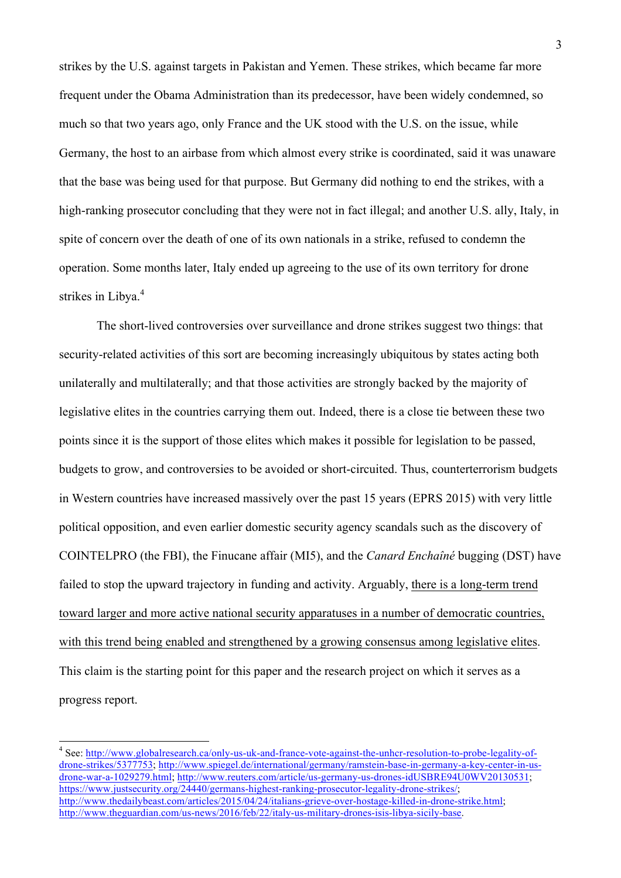strikes by the U.S. against targets in Pakistan and Yemen. These strikes, which became far more frequent under the Obama Administration than its predecessor, have been widely condemned, so much so that two years ago, only France and the UK stood with the U.S. on the issue, while Germany, the host to an airbase from which almost every strike is coordinated, said it was unaware that the base was being used for that purpose. But Germany did nothing to end the strikes, with a high-ranking prosecutor concluding that they were not in fact illegal; and another U.S. ally, Italy, in spite of concern over the death of one of its own nationals in a strike, refused to condemn the operation. Some months later, Italy ended up agreeing to the use of its own territory for drone strikes in Libya.<sup>4</sup>

The short-lived controversies over surveillance and drone strikes suggest two things: that security-related activities of this sort are becoming increasingly ubiquitous by states acting both unilaterally and multilaterally; and that those activities are strongly backed by the majority of legislative elites in the countries carrying them out. Indeed, there is a close tie between these two points since it is the support of those elites which makes it possible for legislation to be passed, budgets to grow, and controversies to be avoided or short-circuited. Thus, counterterrorism budgets in Western countries have increased massively over the past 15 years (EPRS 2015) with very little political opposition, and even earlier domestic security agency scandals such as the discovery of COINTELPRO (the FBI), the Finucane affair (MI5), and the *Canard Enchaîné* bugging (DST) have failed to stop the upward trajectory in funding and activity. Arguably, there is a long-term trend toward larger and more active national security apparatuses in a number of democratic countries, with this trend being enabled and strengthened by a growing consensus among legislative elites. This claim is the starting point for this paper and the research project on which it serves as a progress report.

 <sup>4</sup> See: http://www.globalresearch.ca/only-us-uk-and-france-vote-against-the-unhcr-resolution-to-probe-legality-ofdrone-strikes/5377753; http://www.spiegel.de/international/germany/ramstein-base-in-germany-a-key-center-in-usdrone-war-a-1029279.html; http://www.reuters.com/article/us-germany-us-drones-idUSBRE94U0WV20130531; https://www.justsecurity.org/24440/germans-highest-ranking-prosecutor-legality-drone-strikes/; http://www.thedailybeast.com/articles/2015/04/24/italians-grieve-over-hostage-killed-in-drone-strike.html; http://www.theguardian.com/us-news/2016/feb/22/italy-us-military-drones-isis-libya-sicily-base.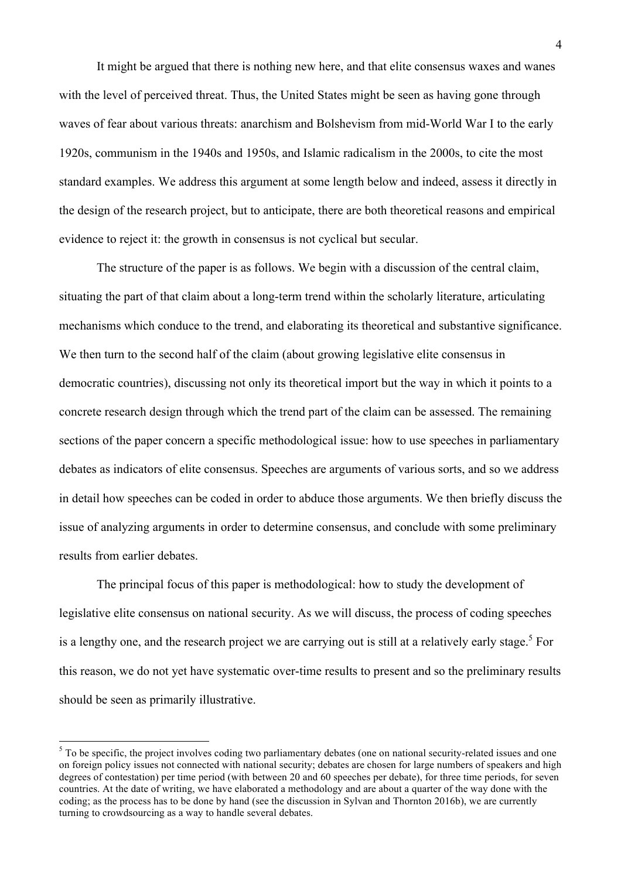It might be argued that there is nothing new here, and that elite consensus waxes and wanes with the level of perceived threat. Thus, the United States might be seen as having gone through waves of fear about various threats: anarchism and Bolshevism from mid-World War I to the early 1920s, communism in the 1940s and 1950s, and Islamic radicalism in the 2000s, to cite the most standard examples. We address this argument at some length below and indeed, assess it directly in the design of the research project, but to anticipate, there are both theoretical reasons and empirical evidence to reject it: the growth in consensus is not cyclical but secular.

The structure of the paper is as follows. We begin with a discussion of the central claim, situating the part of that claim about a long-term trend within the scholarly literature, articulating mechanisms which conduce to the trend, and elaborating its theoretical and substantive significance. We then turn to the second half of the claim (about growing legislative elite consensus in democratic countries), discussing not only its theoretical import but the way in which it points to a concrete research design through which the trend part of the claim can be assessed. The remaining sections of the paper concern a specific methodological issue: how to use speeches in parliamentary debates as indicators of elite consensus. Speeches are arguments of various sorts, and so we address in detail how speeches can be coded in order to abduce those arguments. We then briefly discuss the issue of analyzing arguments in order to determine consensus, and conclude with some preliminary results from earlier debates.

The principal focus of this paper is methodological: how to study the development of legislative elite consensus on national security. As we will discuss, the process of coding speeches is a lengthy one, and the research project we are carrying out is still at a relatively early stage.<sup>5</sup> For this reason, we do not yet have systematic over-time results to present and so the preliminary results should be seen as primarily illustrative.

 $<sup>5</sup>$  To be specific, the project involves coding two parliamentary debates (one on national security-related issues and one</sup> on foreign policy issues not connected with national security; debates are chosen for large numbers of speakers and high degrees of contestation) per time period (with between 20 and 60 speeches per debate), for three time periods, for seven countries. At the date of writing, we have elaborated a methodology and are about a quarter of the way done with the coding; as the process has to be done by hand (see the discussion in Sylvan and Thornton 2016b), we are currently turning to crowdsourcing as a way to handle several debates.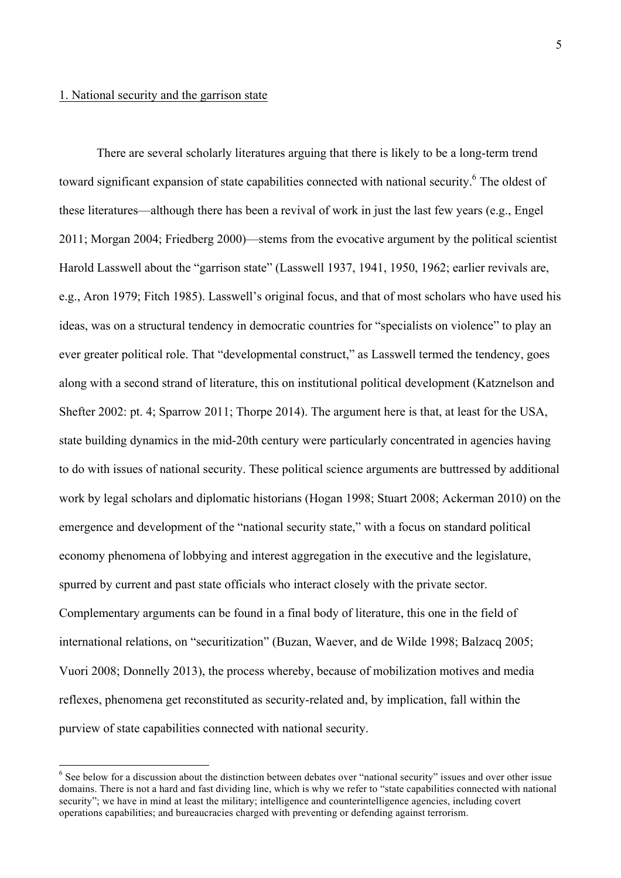#### 1. National security and the garrison state

There are several scholarly literatures arguing that there is likely to be a long-term trend toward significant expansion of state capabilities connected with national security.<sup>6</sup> The oldest of these literatures—although there has been a revival of work in just the last few years (e.g., Engel 2011; Morgan 2004; Friedberg 2000)—stems from the evocative argument by the political scientist Harold Lasswell about the "garrison state" (Lasswell 1937, 1941, 1950, 1962; earlier revivals are, e.g., Aron 1979; Fitch 1985). Lasswell's original focus, and that of most scholars who have used his ideas, was on a structural tendency in democratic countries for "specialists on violence" to play an ever greater political role. That "developmental construct," as Lasswell termed the tendency, goes along with a second strand of literature, this on institutional political development (Katznelson and Shefter 2002: pt. 4; Sparrow 2011; Thorpe 2014). The argument here is that, at least for the USA, state building dynamics in the mid-20th century were particularly concentrated in agencies having to do with issues of national security. These political science arguments are buttressed by additional work by legal scholars and diplomatic historians (Hogan 1998; Stuart 2008; Ackerman 2010) on the emergence and development of the "national security state," with a focus on standard political economy phenomena of lobbying and interest aggregation in the executive and the legislature, spurred by current and past state officials who interact closely with the private sector. Complementary arguments can be found in a final body of literature, this one in the field of international relations, on "securitization" (Buzan, Waever, and de Wilde 1998; Balzacq 2005; Vuori 2008; Donnelly 2013), the process whereby, because of mobilization motives and media reflexes, phenomena get reconstituted as security-related and, by implication, fall within the purview of state capabilities connected with national security.

<sup>&</sup>lt;sup>6</sup> See below for a discussion about the distinction between debates over "national security" issues and over other issue domains. There is not a hard and fast dividing line, which is why we refer to "state capabilities connected with national security"; we have in mind at least the military; intelligence and counterintelligence agencies, including covert operations capabilities; and bureaucracies charged with preventing or defending against terrorism.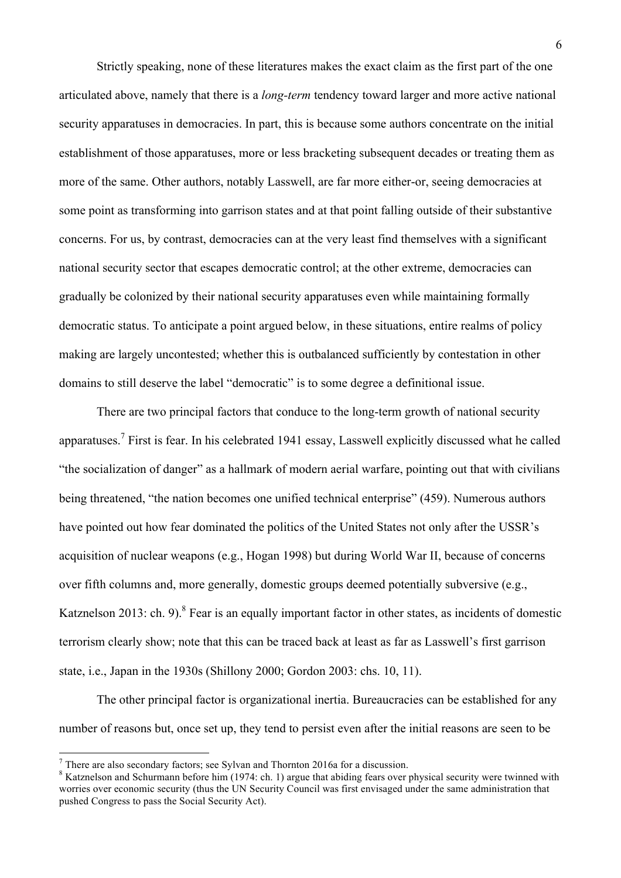Strictly speaking, none of these literatures makes the exact claim as the first part of the one articulated above, namely that there is a *long-term* tendency toward larger and more active national security apparatuses in democracies. In part, this is because some authors concentrate on the initial establishment of those apparatuses, more or less bracketing subsequent decades or treating them as more of the same. Other authors, notably Lasswell, are far more either-or, seeing democracies at some point as transforming into garrison states and at that point falling outside of their substantive concerns. For us, by contrast, democracies can at the very least find themselves with a significant national security sector that escapes democratic control; at the other extreme, democracies can gradually be colonized by their national security apparatuses even while maintaining formally democratic status. To anticipate a point argued below, in these situations, entire realms of policy making are largely uncontested; whether this is outbalanced sufficiently by contestation in other domains to still deserve the label "democratic" is to some degree a definitional issue.

There are two principal factors that conduce to the long-term growth of national security apparatuses.<sup>7</sup> First is fear. In his celebrated 1941 essay, Lasswell explicitly discussed what he called "the socialization of danger" as a hallmark of modern aerial warfare, pointing out that with civilians being threatened, "the nation becomes one unified technical enterprise" (459). Numerous authors have pointed out how fear dominated the politics of the United States not only after the USSR's acquisition of nuclear weapons (e.g., Hogan 1998) but during World War II, because of concerns over fifth columns and, more generally, domestic groups deemed potentially subversive (e.g., Katznelson 2013: ch. 9).<sup>8</sup> Fear is an equally important factor in other states, as incidents of domestic terrorism clearly show; note that this can be traced back at least as far as Lasswell's first garrison state, i.e., Japan in the 1930s (Shillony 2000; Gordon 2003: chs. 10, 11).

The other principal factor is organizational inertia. Bureaucracies can be established for any number of reasons but, once set up, they tend to persist even after the initial reasons are seen to be

 <sup>7</sup> There are also secondary factors; see Sylvan and Thornton 2016a for a discussion.

<sup>&</sup>lt;sup>8</sup> Katznelson and Schurmann before him (1974: ch. 1) argue that abiding fears over physical security were twinned with worries over economic security (thus the UN Security Council was first envisaged under the same administration that pushed Congress to pass the Social Security Act).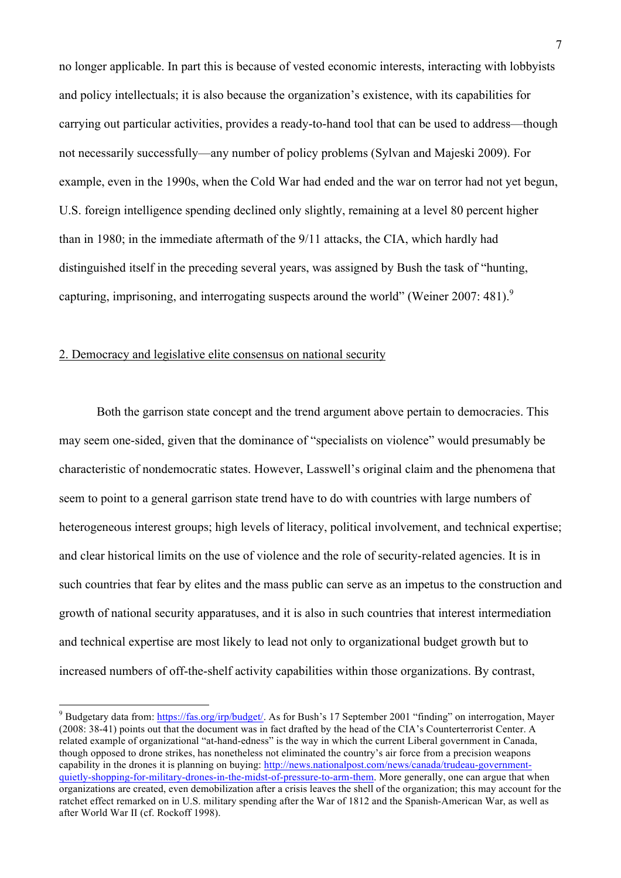no longer applicable. In part this is because of vested economic interests, interacting with lobbyists and policy intellectuals; it is also because the organization's existence, with its capabilities for carrying out particular activities, provides a ready-to-hand tool that can be used to address—though not necessarily successfully—any number of policy problems (Sylvan and Majeski 2009). For example, even in the 1990s, when the Cold War had ended and the war on terror had not yet begun, U.S. foreign intelligence spending declined only slightly, remaining at a level 80 percent higher than in 1980; in the immediate aftermath of the 9/11 attacks, the CIA, which hardly had distinguished itself in the preceding several years, was assigned by Bush the task of "hunting, capturing, imprisoning, and interrogating suspects around the world" (Weiner 2007: 481).<sup>9</sup>

#### 2. Democracy and legislative elite consensus on national security

Both the garrison state concept and the trend argument above pertain to democracies. This may seem one-sided, given that the dominance of "specialists on violence" would presumably be characteristic of nondemocratic states. However, Lasswell's original claim and the phenomena that seem to point to a general garrison state trend have to do with countries with large numbers of heterogeneous interest groups; high levels of literacy, political involvement, and technical expertise; and clear historical limits on the use of violence and the role of security-related agencies. It is in such countries that fear by elites and the mass public can serve as an impetus to the construction and growth of national security apparatuses, and it is also in such countries that interest intermediation and technical expertise are most likely to lead not only to organizational budget growth but to increased numbers of off-the-shelf activity capabilities within those organizations. By contrast,

<sup>&</sup>lt;sup>9</sup> Budgetary data from: https://fas.org/irp/budget/. As for Bush's 17 September 2001 "finding" on interrogation, Mayer (2008: 38-41) points out that the document was in fact drafted by the head of the CIA's Counterterrorist Center. A related example of organizational "at-hand-edness" is the way in which the current Liberal government in Canada, though opposed to drone strikes, has nonetheless not eliminated the country's air force from a precision weapons capability in the drones it is planning on buying: http://news.nationalpost.com/news/canada/trudeau-governmentquietly-shopping-for-military-drones-in-the-midst-of-pressure-to-arm-them. More generally, one can argue that when organizations are created, even demobilization after a crisis leaves the shell of the organization; this may account for the ratchet effect remarked on in U.S. military spending after the War of 1812 and the Spanish-American War, as well as after World War II (cf. Rockoff 1998).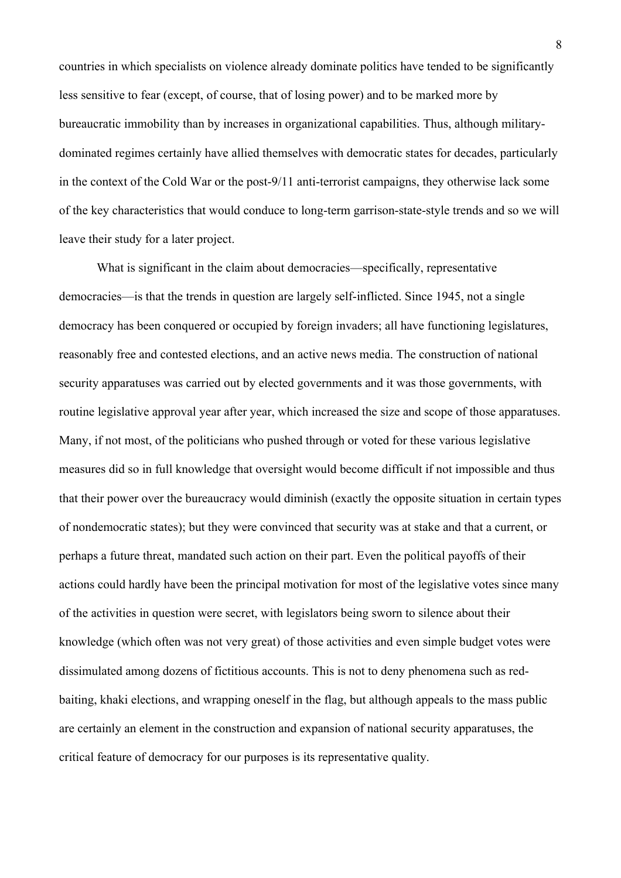countries in which specialists on violence already dominate politics have tended to be significantly less sensitive to fear (except, of course, that of losing power) and to be marked more by bureaucratic immobility than by increases in organizational capabilities. Thus, although militarydominated regimes certainly have allied themselves with democratic states for decades, particularly in the context of the Cold War or the post-9/11 anti-terrorist campaigns, they otherwise lack some of the key characteristics that would conduce to long-term garrison-state-style trends and so we will leave their study for a later project.

What is significant in the claim about democracies—specifically, representative democracies—is that the trends in question are largely self-inflicted. Since 1945, not a single democracy has been conquered or occupied by foreign invaders; all have functioning legislatures, reasonably free and contested elections, and an active news media. The construction of national security apparatuses was carried out by elected governments and it was those governments, with routine legislative approval year after year, which increased the size and scope of those apparatuses. Many, if not most, of the politicians who pushed through or voted for these various legislative measures did so in full knowledge that oversight would become difficult if not impossible and thus that their power over the bureaucracy would diminish (exactly the opposite situation in certain types of nondemocratic states); but they were convinced that security was at stake and that a current, or perhaps a future threat, mandated such action on their part. Even the political payoffs of their actions could hardly have been the principal motivation for most of the legislative votes since many of the activities in question were secret, with legislators being sworn to silence about their knowledge (which often was not very great) of those activities and even simple budget votes were dissimulated among dozens of fictitious accounts. This is not to deny phenomena such as redbaiting, khaki elections, and wrapping oneself in the flag, but although appeals to the mass public are certainly an element in the construction and expansion of national security apparatuses, the critical feature of democracy for our purposes is its representative quality.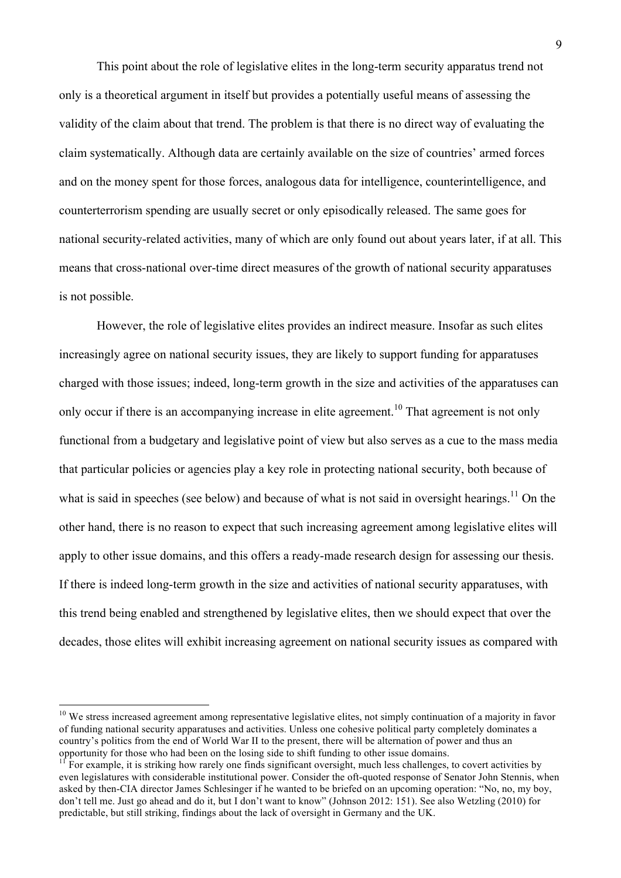This point about the role of legislative elites in the long-term security apparatus trend not only is a theoretical argument in itself but provides a potentially useful means of assessing the validity of the claim about that trend. The problem is that there is no direct way of evaluating the claim systematically. Although data are certainly available on the size of countries' armed forces and on the money spent for those forces, analogous data for intelligence, counterintelligence, and counterterrorism spending are usually secret or only episodically released. The same goes for national security-related activities, many of which are only found out about years later, if at all. This means that cross-national over-time direct measures of the growth of national security apparatuses is not possible.

However, the role of legislative elites provides an indirect measure. Insofar as such elites increasingly agree on national security issues, they are likely to support funding for apparatuses charged with those issues; indeed, long-term growth in the size and activities of the apparatuses can only occur if there is an accompanying increase in elite agreement.<sup>10</sup> That agreement is not only functional from a budgetary and legislative point of view but also serves as a cue to the mass media that particular policies or agencies play a key role in protecting national security, both because of what is said in speeches (see below) and because of what is not said in oversight hearings.<sup>11</sup> On the other hand, there is no reason to expect that such increasing agreement among legislative elites will apply to other issue domains, and this offers a ready-made research design for assessing our thesis. If there is indeed long-term growth in the size and activities of national security apparatuses, with this trend being enabled and strengthened by legislative elites, then we should expect that over the decades, those elites will exhibit increasing agreement on national security issues as compared with

<sup>&</sup>lt;sup>10</sup> We stress increased agreement among representative legislative elites, not simply continuation of a majority in favor of funding national security apparatuses and activities. Unless one cohesive political party completely dominates a country's politics from the end of World War II to the present, there will be alternation of power and thus an opportunity for those who had been on the losing side to shift funding to other issue domains.

 $11$  For example, it is striking how rarely one finds significant oversight, much less challenges, to covert activities by even legislatures with considerable institutional power. Consider the oft-quoted response of Senator John Stennis, when asked by then-CIA director James Schlesinger if he wanted to be briefed on an upcoming operation: "No, no, my boy, don't tell me. Just go ahead and do it, but I don't want to know" (Johnson 2012: 151). See also Wetzling (2010) for predictable, but still striking, findings about the lack of oversight in Germany and the UK.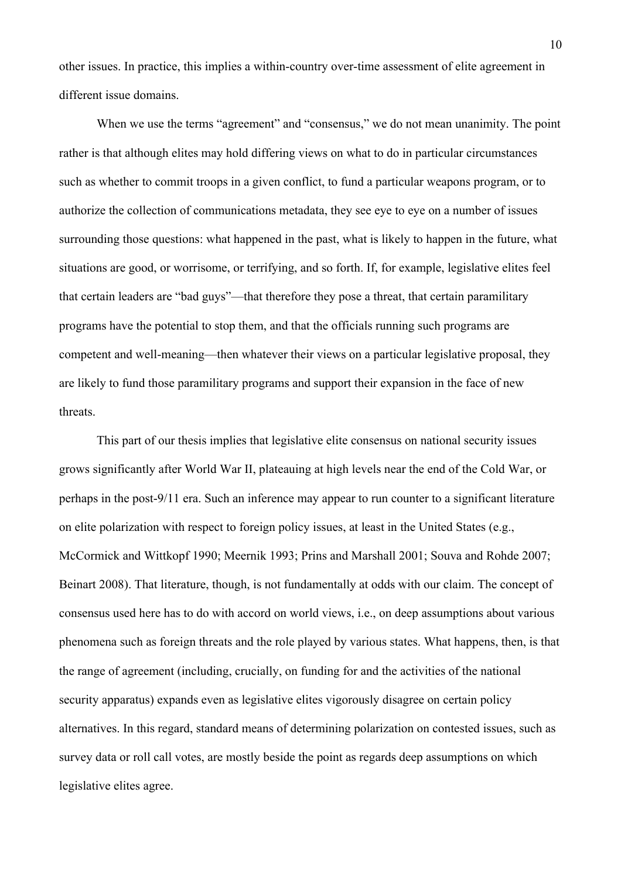other issues. In practice, this implies a within-country over-time assessment of elite agreement in different issue domains.

When we use the terms "agreement" and "consensus," we do not mean unanimity. The point rather is that although elites may hold differing views on what to do in particular circumstances such as whether to commit troops in a given conflict, to fund a particular weapons program, or to authorize the collection of communications metadata, they see eye to eye on a number of issues surrounding those questions: what happened in the past, what is likely to happen in the future, what situations are good, or worrisome, or terrifying, and so forth. If, for example, legislative elites feel that certain leaders are "bad guys"—that therefore they pose a threat, that certain paramilitary programs have the potential to stop them, and that the officials running such programs are competent and well-meaning—then whatever their views on a particular legislative proposal, they are likely to fund those paramilitary programs and support their expansion in the face of new threats.

This part of our thesis implies that legislative elite consensus on national security issues grows significantly after World War II, plateauing at high levels near the end of the Cold War, or perhaps in the post-9/11 era. Such an inference may appear to run counter to a significant literature on elite polarization with respect to foreign policy issues, at least in the United States (e.g., McCormick and Wittkopf 1990; Meernik 1993; Prins and Marshall 2001; Souva and Rohde 2007; Beinart 2008). That literature, though, is not fundamentally at odds with our claim. The concept of consensus used here has to do with accord on world views, i.e., on deep assumptions about various phenomena such as foreign threats and the role played by various states. What happens, then, is that the range of agreement (including, crucially, on funding for and the activities of the national security apparatus) expands even as legislative elites vigorously disagree on certain policy alternatives. In this regard, standard means of determining polarization on contested issues, such as survey data or roll call votes, are mostly beside the point as regards deep assumptions on which legislative elites agree.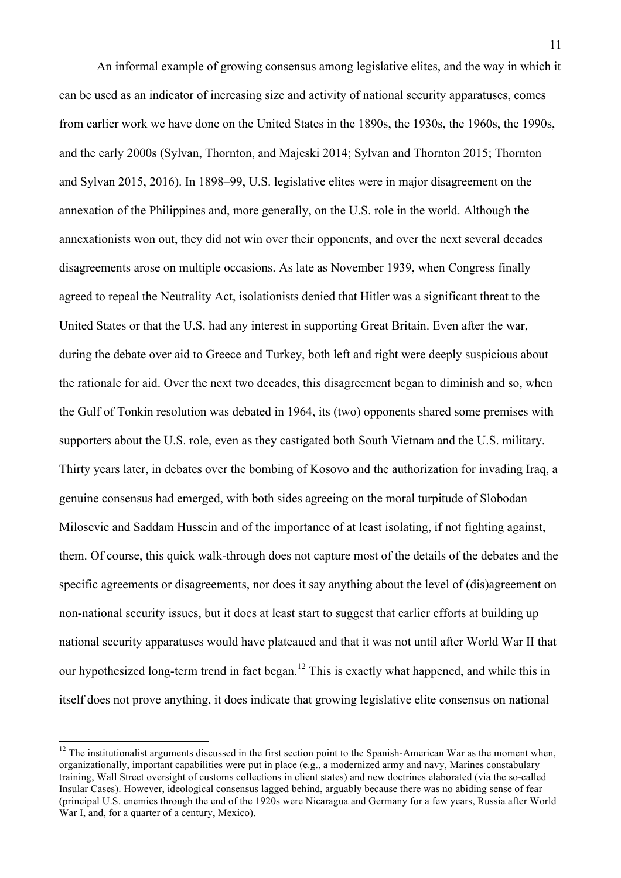An informal example of growing consensus among legislative elites, and the way in which it can be used as an indicator of increasing size and activity of national security apparatuses, comes from earlier work we have done on the United States in the 1890s, the 1930s, the 1960s, the 1990s, and the early 2000s (Sylvan, Thornton, and Majeski 2014; Sylvan and Thornton 2015; Thornton and Sylvan 2015, 2016). In 1898–99, U.S. legislative elites were in major disagreement on the annexation of the Philippines and, more generally, on the U.S. role in the world. Although the annexationists won out, they did not win over their opponents, and over the next several decades disagreements arose on multiple occasions. As late as November 1939, when Congress finally agreed to repeal the Neutrality Act, isolationists denied that Hitler was a significant threat to the United States or that the U.S. had any interest in supporting Great Britain. Even after the war, during the debate over aid to Greece and Turkey, both left and right were deeply suspicious about the rationale for aid. Over the next two decades, this disagreement began to diminish and so, when the Gulf of Tonkin resolution was debated in 1964, its (two) opponents shared some premises with supporters about the U.S. role, even as they castigated both South Vietnam and the U.S. military. Thirty years later, in debates over the bombing of Kosovo and the authorization for invading Iraq, a genuine consensus had emerged, with both sides agreeing on the moral turpitude of Slobodan Milosevic and Saddam Hussein and of the importance of at least isolating, if not fighting against, them. Of course, this quick walk-through does not capture most of the details of the debates and the specific agreements or disagreements, nor does it say anything about the level of (dis)agreement on non-national security issues, but it does at least start to suggest that earlier efforts at building up national security apparatuses would have plateaued and that it was not until after World War II that our hypothesized long-term trend in fact began.<sup>12</sup> This is exactly what happened, and while this in itself does not prove anything, it does indicate that growing legislative elite consensus on national

 $12$  The institutionalist arguments discussed in the first section point to the Spanish-American War as the moment when, organizationally, important capabilities were put in place  $(e.g., a$  modernized army and navy, Marines constabulary training, Wall Street oversight of customs collections in client states) and new doctrines elaborated (via the so-called Insular Cases). However, ideological consensus lagged behind, arguably because there was no abiding sense of fear (principal U.S. enemies through the end of the 1920s were Nicaragua and Germany for a few years, Russia after World War I, and, for a quarter of a century, Mexico).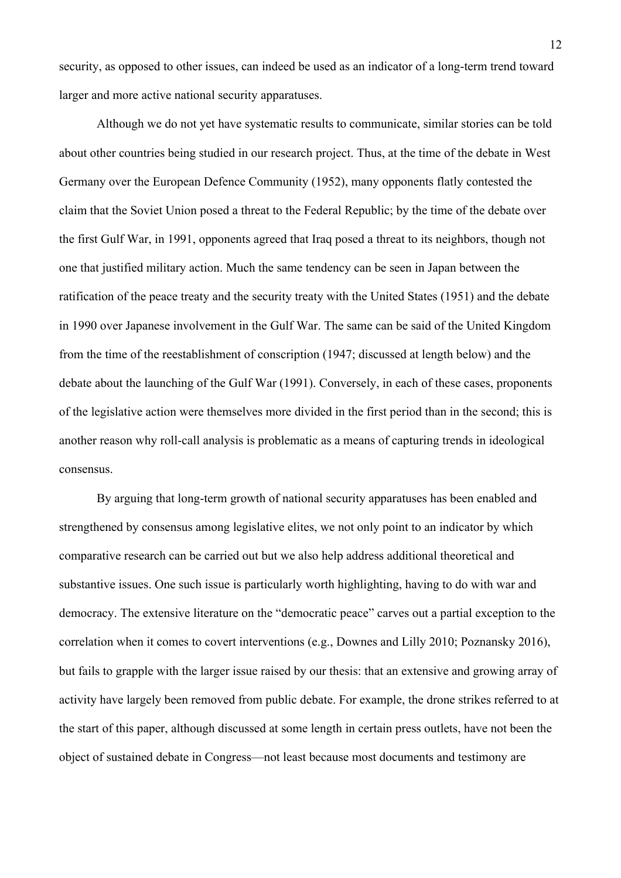security, as opposed to other issues, can indeed be used as an indicator of a long-term trend toward larger and more active national security apparatuses.

Although we do not yet have systematic results to communicate, similar stories can be told about other countries being studied in our research project. Thus, at the time of the debate in West Germany over the European Defence Community (1952), many opponents flatly contested the claim that the Soviet Union posed a threat to the Federal Republic; by the time of the debate over the first Gulf War, in 1991, opponents agreed that Iraq posed a threat to its neighbors, though not one that justified military action. Much the same tendency can be seen in Japan between the ratification of the peace treaty and the security treaty with the United States (1951) and the debate in 1990 over Japanese involvement in the Gulf War. The same can be said of the United Kingdom from the time of the reestablishment of conscription (1947; discussed at length below) and the debate about the launching of the Gulf War (1991). Conversely, in each of these cases, proponents of the legislative action were themselves more divided in the first period than in the second; this is another reason why roll-call analysis is problematic as a means of capturing trends in ideological consensus.

By arguing that long-term growth of national security apparatuses has been enabled and strengthened by consensus among legislative elites, we not only point to an indicator by which comparative research can be carried out but we also help address additional theoretical and substantive issues. One such issue is particularly worth highlighting, having to do with war and democracy. The extensive literature on the "democratic peace" carves out a partial exception to the correlation when it comes to covert interventions (e.g., Downes and Lilly 2010; Poznansky 2016), but fails to grapple with the larger issue raised by our thesis: that an extensive and growing array of activity have largely been removed from public debate. For example, the drone strikes referred to at the start of this paper, although discussed at some length in certain press outlets, have not been the object of sustained debate in Congress—not least because most documents and testimony are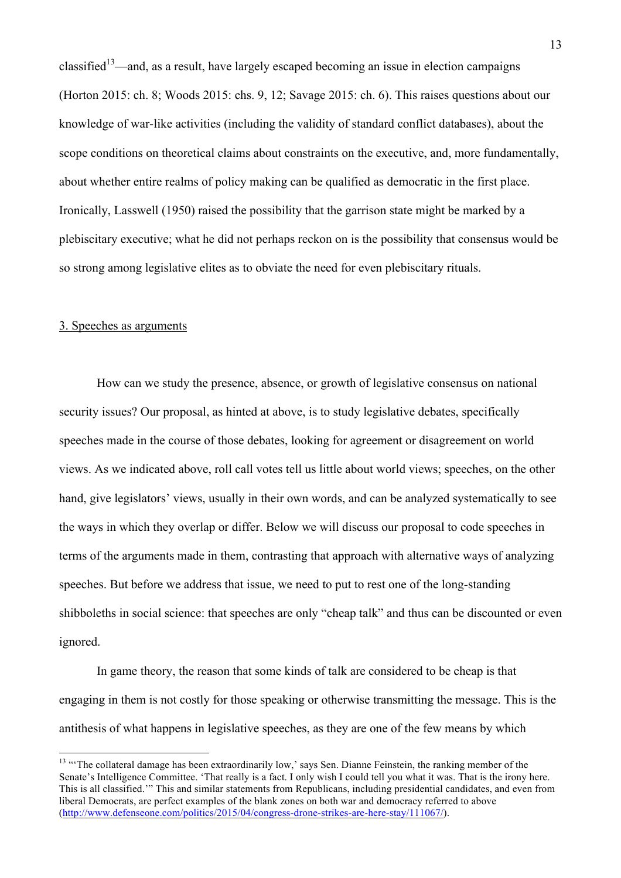classified<sup>13</sup>—and, as a result, have largely escaped becoming an issue in election campaigns (Horton 2015: ch. 8; Woods 2015: chs. 9, 12; Savage 2015: ch. 6). This raises questions about our knowledge of war-like activities (including the validity of standard conflict databases), about the scope conditions on theoretical claims about constraints on the executive, and, more fundamentally, about whether entire realms of policy making can be qualified as democratic in the first place. Ironically, Lasswell (1950) raised the possibility that the garrison state might be marked by a plebiscitary executive; what he did not perhaps reckon on is the possibility that consensus would be so strong among legislative elites as to obviate the need for even plebiscitary rituals.

### 3. Speeches as arguments

How can we study the presence, absence, or growth of legislative consensus on national security issues? Our proposal, as hinted at above, is to study legislative debates, specifically speeches made in the course of those debates, looking for agreement or disagreement on world views. As we indicated above, roll call votes tell us little about world views; speeches, on the other hand, give legislators' views, usually in their own words, and can be analyzed systematically to see the ways in which they overlap or differ. Below we will discuss our proposal to code speeches in terms of the arguments made in them, contrasting that approach with alternative ways of analyzing speeches. But before we address that issue, we need to put to rest one of the long-standing shibboleths in social science: that speeches are only "cheap talk" and thus can be discounted or even ignored.

In game theory, the reason that some kinds of talk are considered to be cheap is that engaging in them is not costly for those speaking or otherwise transmitting the message. This is the antithesis of what happens in legislative speeches, as they are one of the few means by which

<sup>&</sup>lt;sup>13</sup> "The collateral damage has been extraordinarily low,' says Sen. Dianne Feinstein, the ranking member of the Senate's Intelligence Committee. 'That really is a fact. I only wish I could tell you what it was. That is the irony here. This is all classified.'" This and similar statements from Republicans, including presidential candidates, and even from liberal Democrats, are perfect examples of the blank zones on both war and democracy referred to above (http://www.defenseone.com/politics/2015/04/congress-drone-strikes-are-here-stay/111067/).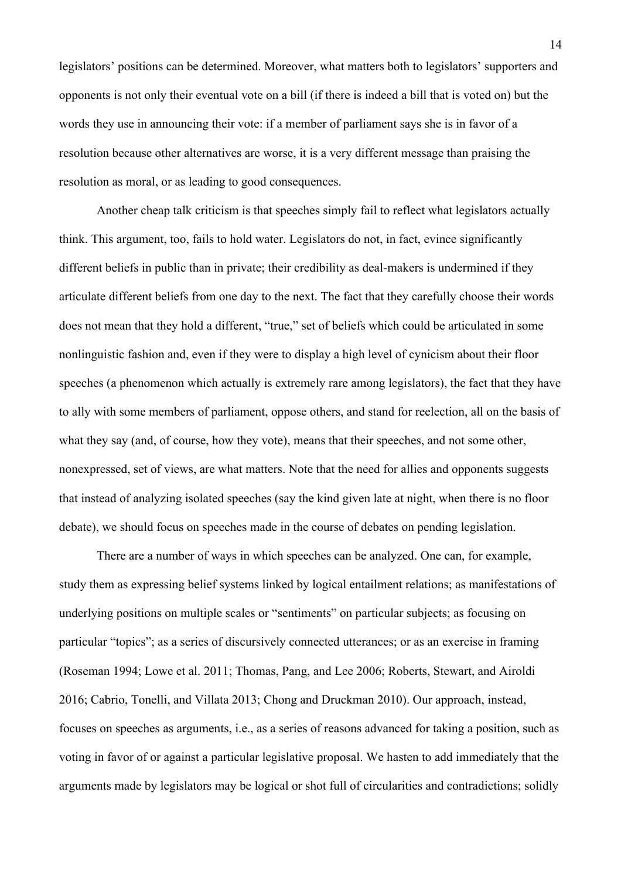legislators' positions can be determined. Moreover, what matters both to legislators' supporters and opponents is not only their eventual vote on a bill (if there is indeed a bill that is voted on) but the words they use in announcing their vote: if a member of parliament says she is in favor of a resolution because other alternatives are worse, it is a very different message than praising the resolution as moral, or as leading to good consequences.

Another cheap talk criticism is that speeches simply fail to reflect what legislators actually think. This argument, too, fails to hold water. Legislators do not, in fact, evince significantly different beliefs in public than in private; their credibility as deal-makers is undermined if they articulate different beliefs from one day to the next. The fact that they carefully choose their words does not mean that they hold a different, "true," set of beliefs which could be articulated in some nonlinguistic fashion and, even if they were to display a high level of cynicism about their floor speeches (a phenomenon which actually is extremely rare among legislators), the fact that they have to ally with some members of parliament, oppose others, and stand for reelection, all on the basis of what they say (and, of course, how they vote), means that their speeches, and not some other. nonexpressed, set of views, are what matters. Note that the need for allies and opponents suggests that instead of analyzing isolated speeches (say the kind given late at night, when there is no floor debate), we should focus on speeches made in the course of debates on pending legislation.

There are a number of ways in which speeches can be analyzed. One can, for example, study them as expressing belief systems linked by logical entailment relations; as manifestations of underlying positions on multiple scales or "sentiments" on particular subjects; as focusing on particular "topics"; as a series of discursively connected utterances; or as an exercise in framing (Roseman 1994; Lowe et al. 2011; Thomas, Pang, and Lee 2006; Roberts, Stewart, and Airoldi 2016; Cabrio, Tonelli, and Villata 2013; Chong and Druckman 2010). Our approach, instead, focuses on speeches as arguments, i.e., as a series of reasons advanced for taking a position, such as voting in favor of or against a particular legislative proposal. We hasten to add immediately that the arguments made by legislators may be logical or shot full of circularities and contradictions; solidly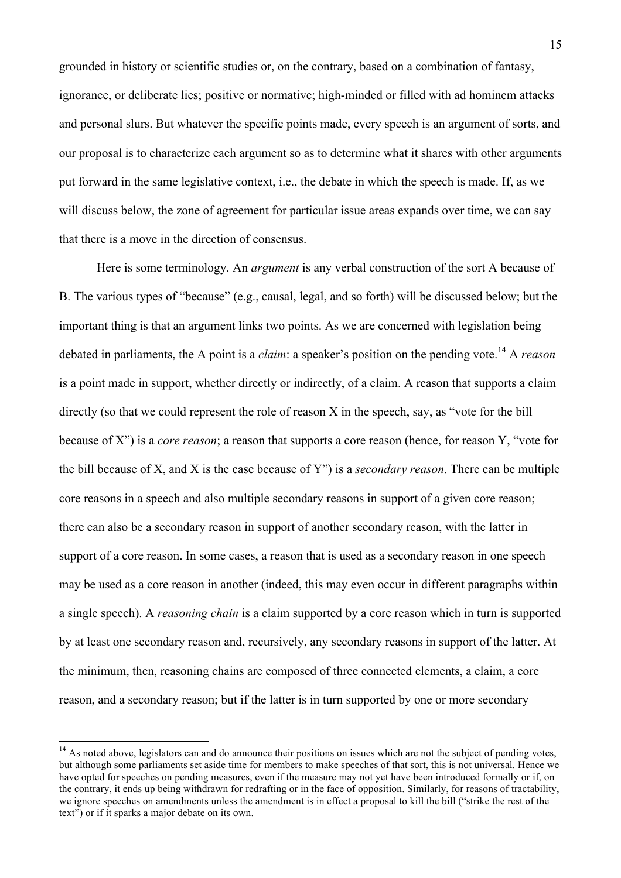grounded in history or scientific studies or, on the contrary, based on a combination of fantasy, ignorance, or deliberate lies; positive or normative; high-minded or filled with ad hominem attacks and personal slurs. But whatever the specific points made, every speech is an argument of sorts, and our proposal is to characterize each argument so as to determine what it shares with other arguments put forward in the same legislative context, i.e., the debate in which the speech is made. If, as we will discuss below, the zone of agreement for particular issue areas expands over time, we can say that there is a move in the direction of consensus.

Here is some terminology. An *argument* is any verbal construction of the sort A because of B. The various types of "because" (e.g., causal, legal, and so forth) will be discussed below; but the important thing is that an argument links two points. As we are concerned with legislation being debated in parliaments, the A point is a *claim*: a speaker's position on the pending vote.<sup>14</sup> A *reason* is a point made in support, whether directly or indirectly, of a claim. A reason that supports a claim directly (so that we could represent the role of reason X in the speech, say, as "vote for the bill because of X") is a *core reason*; a reason that supports a core reason (hence, for reason Y, "vote for the bill because of X, and X is the case because of Y") is a *secondary reason*. There can be multiple core reasons in a speech and also multiple secondary reasons in support of a given core reason; there can also be a secondary reason in support of another secondary reason, with the latter in support of a core reason. In some cases, a reason that is used as a secondary reason in one speech may be used as a core reason in another (indeed, this may even occur in different paragraphs within a single speech). A *reasoning chain* is a claim supported by a core reason which in turn is supported by at least one secondary reason and, recursively, any secondary reasons in support of the latter. At the minimum, then, reasoning chains are composed of three connected elements, a claim, a core reason, and a secondary reason; but if the latter is in turn supported by one or more secondary

<sup>&</sup>lt;sup>14</sup> As noted above, legislators can and do announce their positions on issues which are not the subject of pending votes, but although some parliaments set aside time for members to make speeches of that sort, this is not universal. Hence we have opted for speeches on pending measures, even if the measure may not yet have been introduced formally or if, on the contrary, it ends up being withdrawn for redrafting or in the face of opposition. Similarly, for reasons of tractability, we ignore speeches on amendments unless the amendment is in effect a proposal to kill the bill ("strike the rest of the text") or if it sparks a major debate on its own.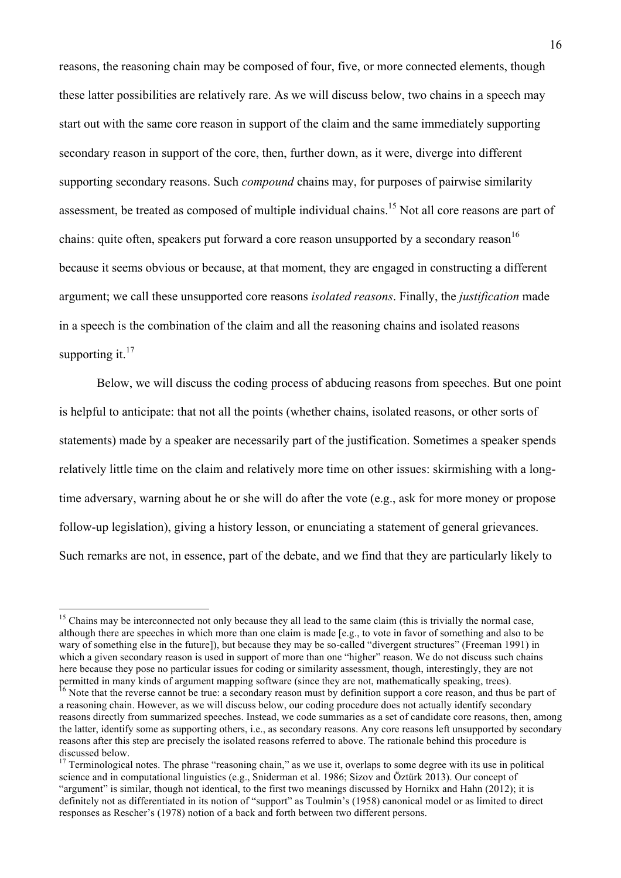reasons, the reasoning chain may be composed of four, five, or more connected elements, though these latter possibilities are relatively rare. As we will discuss below, two chains in a speech may start out with the same core reason in support of the claim and the same immediately supporting secondary reason in support of the core, then, further down, as it were, diverge into different supporting secondary reasons. Such *compound* chains may, for purposes of pairwise similarity assessment, be treated as composed of multiple individual chains.<sup>15</sup> Not all core reasons are part of chains: quite often, speakers put forward a core reason unsupported by a secondary reason  $16$ because it seems obvious or because, at that moment, they are engaged in constructing a different argument; we call these unsupported core reasons *isolated reasons*. Finally, the *justification* made in a speech is the combination of the claim and all the reasoning chains and isolated reasons supporting it. $17$ 

Below, we will discuss the coding process of abducing reasons from speeches. But one point is helpful to anticipate: that not all the points (whether chains, isolated reasons, or other sorts of statements) made by a speaker are necessarily part of the justification. Sometimes a speaker spends relatively little time on the claim and relatively more time on other issues: skirmishing with a longtime adversary, warning about he or she will do after the vote (e.g., ask for more money or propose follow-up legislation), giving a history lesson, or enunciating a statement of general grievances. Such remarks are not, in essence, part of the debate, and we find that they are particularly likely to

 $15$  Chains may be interconnected not only because they all lead to the same claim (this is trivially the normal case, although there are speeches in which more than one claim is made [e.g., to vote in favor of something and also to be wary of something else in the future]), but because they may be so-called "divergent structures" (Freeman 1991) in which a given secondary reason is used in support of more than one "higher" reason. We do not discuss such chains here because they pose no particular issues for coding or similarity assessment, though, interestingly, they are not permitted in many kinds of argument mapping software (since they are not, mathematically speaking, trees)

<sup>&</sup>lt;sup>16</sup> Note that the reverse cannot be true: a secondary reason must by definition support a core reason, and thus be part of a reasoning chain. However, as we will discuss below, our coding procedure does not actually identify secondary reasons directly from summarized speeches. Instead, we code summaries as a set of candidate core reasons, then, among the latter, identify some as supporting others, i.e., as secondary reasons. Any core reasons left unsupported by secondary reasons after this step are precisely the isolated reasons referred to above. The rationale behind this procedure is discussed below.

 $17$  Terminological notes. The phrase "reasoning chain," as we use it, overlaps to some degree with its use in political science and in computational linguistics (e.g., Sniderman et al. 1986; Sizov and Öztürk 2013). Our concept of "argument" is similar, though not identical, to the first two meanings discussed by Hornikx and Hahn (2012); it is definitely not as differentiated in its notion of "support" as Toulmin's (1958) canonical model or as limited to direct responses as Rescher's (1978) notion of a back and forth between two different persons.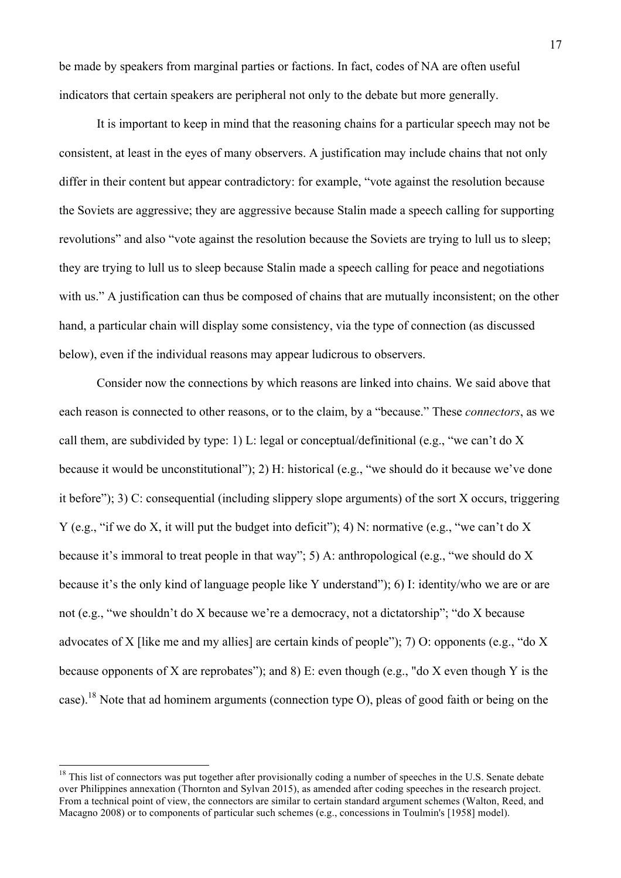be made by speakers from marginal parties or factions. In fact, codes of NA are often useful indicators that certain speakers are peripheral not only to the debate but more generally.

It is important to keep in mind that the reasoning chains for a particular speech may not be consistent, at least in the eyes of many observers. A justification may include chains that not only differ in their content but appear contradictory: for example, "vote against the resolution because the Soviets are aggressive; they are aggressive because Stalin made a speech calling for supporting revolutions" and also "vote against the resolution because the Soviets are trying to lull us to sleep; they are trying to lull us to sleep because Stalin made a speech calling for peace and negotiations with us." A justification can thus be composed of chains that are mutually inconsistent; on the other hand, a particular chain will display some consistency, via the type of connection (as discussed below), even if the individual reasons may appear ludicrous to observers.

Consider now the connections by which reasons are linked into chains. We said above that each reason is connected to other reasons, or to the claim, by a "because." These *connectors*, as we call them, are subdivided by type: 1) L: legal or conceptual/definitional (e.g., "we can't do X because it would be unconstitutional"); 2) H: historical (e.g., "we should do it because we've done it before"); 3) C: consequential (including slippery slope arguments) of the sort X occurs, triggering Y (e.g., "if we do X, it will put the budget into deficit"); 4) N: normative (e.g., "we can't do X because it's immoral to treat people in that way"; 5) A: anthropological (e.g., "we should do X because it's the only kind of language people like Y understand"); 6) I: identity/who we are or are not (e.g., "we shouldn't do X because we're a democracy, not a dictatorship"; "do X because advocates of X [like me and my allies] are certain kinds of people"); 7) O: opponents (e.g., "do X because opponents of X are reprobates"); and 8) E: even though (e.g., "do X even though Y is the case).<sup>18</sup> Note that ad hominem arguments (connection type O), pleas of good faith or being on the

 $18$  This list of connectors was put together after provisionally coding a number of speeches in the U.S. Senate debate over Philippines annexation (Thornton and Sylvan 2015), as amended after coding speeches in the research project. From a technical point of view, the connectors are similar to certain standard argument schemes (Walton, Reed, and Macagno 2008) or to components of particular such schemes (e.g., concessions in Toulmin's [1958] model).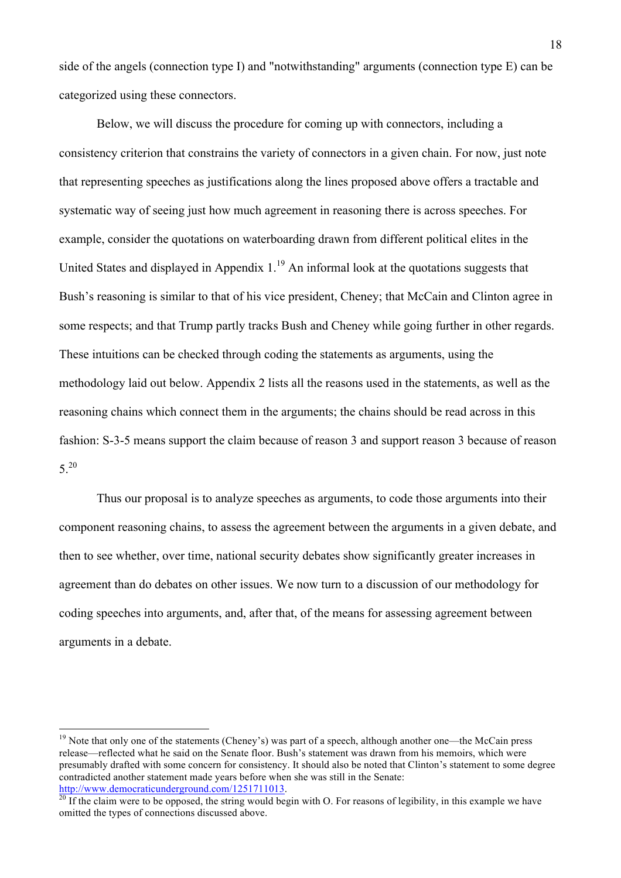side of the angels (connection type I) and "notwithstanding" arguments (connection type E) can be categorized using these connectors.

Below, we will discuss the procedure for coming up with connectors, including a consistency criterion that constrains the variety of connectors in a given chain. For now, just note that representing speeches as justifications along the lines proposed above offers a tractable and systematic way of seeing just how much agreement in reasoning there is across speeches. For example, consider the quotations on waterboarding drawn from different political elites in the United States and displayed in Appendix  $1<sup>19</sup>$  An informal look at the quotations suggests that Bush's reasoning is similar to that of his vice president, Cheney; that McCain and Clinton agree in some respects; and that Trump partly tracks Bush and Cheney while going further in other regards. These intuitions can be checked through coding the statements as arguments, using the methodology laid out below. Appendix 2 lists all the reasons used in the statements, as well as the reasoning chains which connect them in the arguments; the chains should be read across in this fashion: S-3-5 means support the claim because of reason 3 and support reason 3 because of reason  $5^{20}$ 

Thus our proposal is to analyze speeches as arguments, to code those arguments into their component reasoning chains, to assess the agreement between the arguments in a given debate, and then to see whether, over time, national security debates show significantly greater increases in agreement than do debates on other issues. We now turn to a discussion of our methodology for coding speeches into arguments, and, after that, of the means for assessing agreement between arguments in a debate.

<sup>&</sup>lt;sup>19</sup> Note that only one of the statements (Cheney's) was part of a speech, although another one—the McCain press release—reflected what he said on the Senate floor. Bush's statement was drawn from his memoirs, which were presumably drafted with some concern for consistency. It should also be noted that Clinton's statement to some degree contradicted another statement made years before when she was still in the Senate:<br>http://www.democraticunderground.com/1251711013.

 $\frac{1}{20}$  If the claim were to be opposed, the string would begin with O. For reasons of legibility, in this example we have omitted the types of connections discussed above.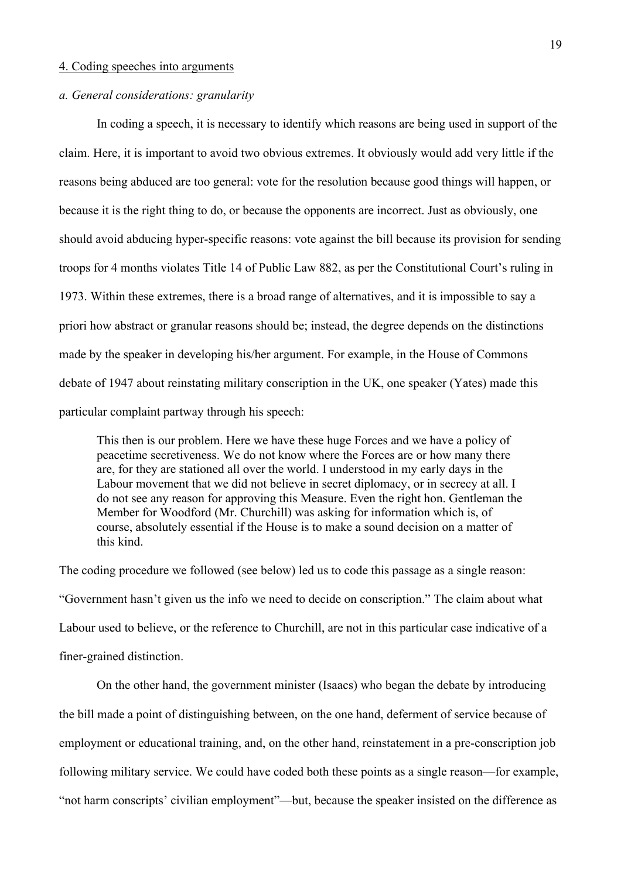#### 4. Coding speeches into arguments

#### *a. General considerations: granularity*

In coding a speech, it is necessary to identify which reasons are being used in support of the claim. Here, it is important to avoid two obvious extremes. It obviously would add very little if the reasons being abduced are too general: vote for the resolution because good things will happen, or because it is the right thing to do, or because the opponents are incorrect. Just as obviously, one should avoid abducing hyper-specific reasons: vote against the bill because its provision for sending troops for 4 months violates Title 14 of Public Law 882, as per the Constitutional Court's ruling in 1973. Within these extremes, there is a broad range of alternatives, and it is impossible to say a priori how abstract or granular reasons should be; instead, the degree depends on the distinctions made by the speaker in developing his/her argument. For example, in the House of Commons debate of 1947 about reinstating military conscription in the UK, one speaker (Yates) made this particular complaint partway through his speech:

This then is our problem. Here we have these huge Forces and we have a policy of peacetime secretiveness. We do not know where the Forces are or how many there are, for they are stationed all over the world. I understood in my early days in the Labour movement that we did not believe in secret diplomacy, or in secrecy at all. I do not see any reason for approving this Measure. Even the right hon. Gentleman the Member for Woodford (Mr. Churchill) was asking for information which is, of course, absolutely essential if the House is to make a sound decision on a matter of this kind.

The coding procedure we followed (see below) led us to code this passage as a single reason: "Government hasn't given us the info we need to decide on conscription." The claim about what Labour used to believe, or the reference to Churchill, are not in this particular case indicative of a finer-grained distinction.

On the other hand, the government minister (Isaacs) who began the debate by introducing the bill made a point of distinguishing between, on the one hand, deferment of service because of employment or educational training, and, on the other hand, reinstatement in a pre-conscription job following military service. We could have coded both these points as a single reason—for example, "not harm conscripts' civilian employment"—but, because the speaker insisted on the difference as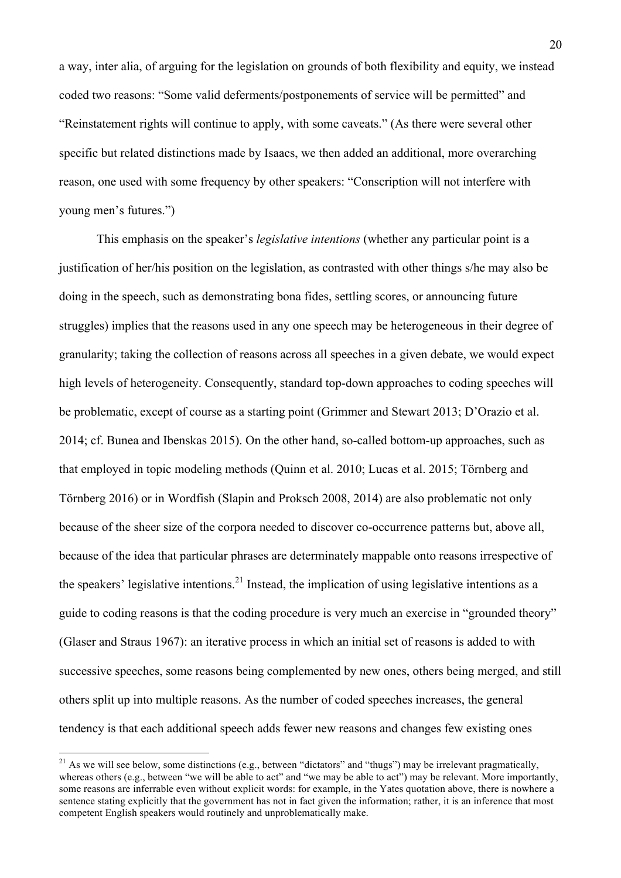a way, inter alia, of arguing for the legislation on grounds of both flexibility and equity, we instead coded two reasons: "Some valid deferments/postponements of service will be permitted" and "Reinstatement rights will continue to apply, with some caveats." (As there were several other specific but related distinctions made by Isaacs, we then added an additional, more overarching reason, one used with some frequency by other speakers: "Conscription will not interfere with young men's futures.")

This emphasis on the speaker's *legislative intentions* (whether any particular point is a justification of her/his position on the legislation, as contrasted with other things s/he may also be doing in the speech, such as demonstrating bona fides, settling scores, or announcing future struggles) implies that the reasons used in any one speech may be heterogeneous in their degree of granularity; taking the collection of reasons across all speeches in a given debate, we would expect high levels of heterogeneity. Consequently, standard top-down approaches to coding speeches will be problematic, except of course as a starting point (Grimmer and Stewart 2013; D'Orazio et al. 2014; cf. Bunea and Ibenskas 2015). On the other hand, so-called bottom-up approaches, such as that employed in topic modeling methods (Quinn et al. 2010; Lucas et al. 2015; Törnberg and Törnberg 2016) or in Wordfish (Slapin and Proksch 2008, 2014) are also problematic not only because of the sheer size of the corpora needed to discover co-occurrence patterns but, above all, because of the idea that particular phrases are determinately mappable onto reasons irrespective of the speakers' legislative intentions.<sup>21</sup> Instead, the implication of using legislative intentions as a guide to coding reasons is that the coding procedure is very much an exercise in "grounded theory" (Glaser and Straus 1967): an iterative process in which an initial set of reasons is added to with successive speeches, some reasons being complemented by new ones, others being merged, and still others split up into multiple reasons. As the number of coded speeches increases, the general tendency is that each additional speech adds fewer new reasons and changes few existing ones

 $21$  As we will see below, some distinctions (e.g., between "dictators" and "thugs") may be irrelevant pragmatically, whereas others (e.g., between "we will be able to act" and "we may be able to act") may be relevant. More importantly, some reasons are inferrable even without explicit words: for example, in the Yates quotation above, there is nowhere a sentence stating explicitly that the government has not in fact given the information; rather, it is an inference that most competent English speakers would routinely and unproblematically make.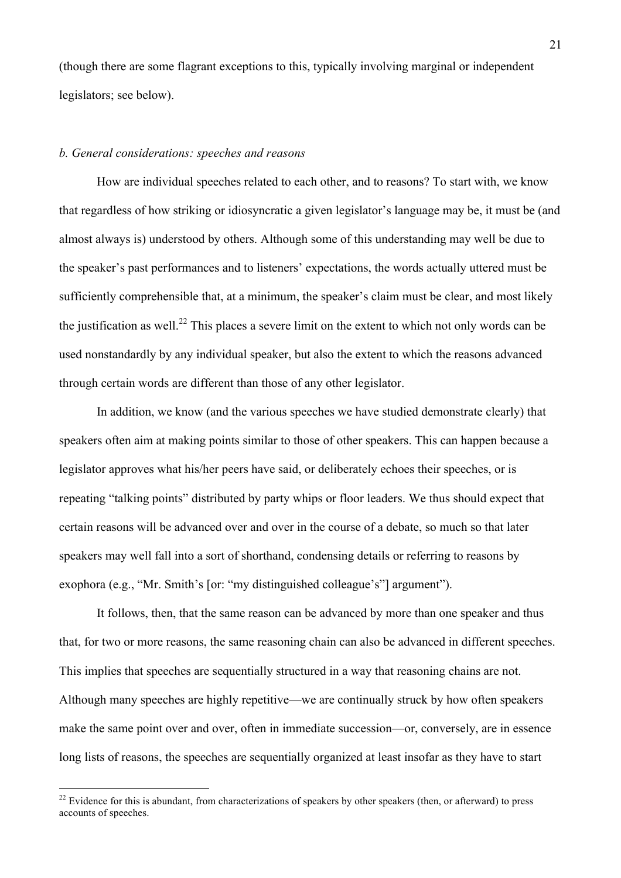(though there are some flagrant exceptions to this, typically involving marginal or independent legislators; see below).

#### *b. General considerations: speeches and reasons*

How are individual speeches related to each other, and to reasons? To start with, we know that regardless of how striking or idiosyncratic a given legislator's language may be, it must be (and almost always is) understood by others. Although some of this understanding may well be due to the speaker's past performances and to listeners' expectations, the words actually uttered must be sufficiently comprehensible that, at a minimum, the speaker's claim must be clear, and most likely the justification as well.<sup>22</sup> This places a severe limit on the extent to which not only words can be used nonstandardly by any individual speaker, but also the extent to which the reasons advanced through certain words are different than those of any other legislator.

In addition, we know (and the various speeches we have studied demonstrate clearly) that speakers often aim at making points similar to those of other speakers. This can happen because a legislator approves what his/her peers have said, or deliberately echoes their speeches, or is repeating "talking points" distributed by party whips or floor leaders. We thus should expect that certain reasons will be advanced over and over in the course of a debate, so much so that later speakers may well fall into a sort of shorthand, condensing details or referring to reasons by exophora (e.g., "Mr. Smith's [or: "my distinguished colleague's"] argument").

It follows, then, that the same reason can be advanced by more than one speaker and thus that, for two or more reasons, the same reasoning chain can also be advanced in different speeches. This implies that speeches are sequentially structured in a way that reasoning chains are not. Although many speeches are highly repetitive—we are continually struck by how often speakers make the same point over and over, often in immediate succession—or, conversely, are in essence long lists of reasons, the speeches are sequentially organized at least insofar as they have to start

 $22$  Evidence for this is abundant, from characterizations of speakers by other speakers (then, or afterward) to press accounts of speeches.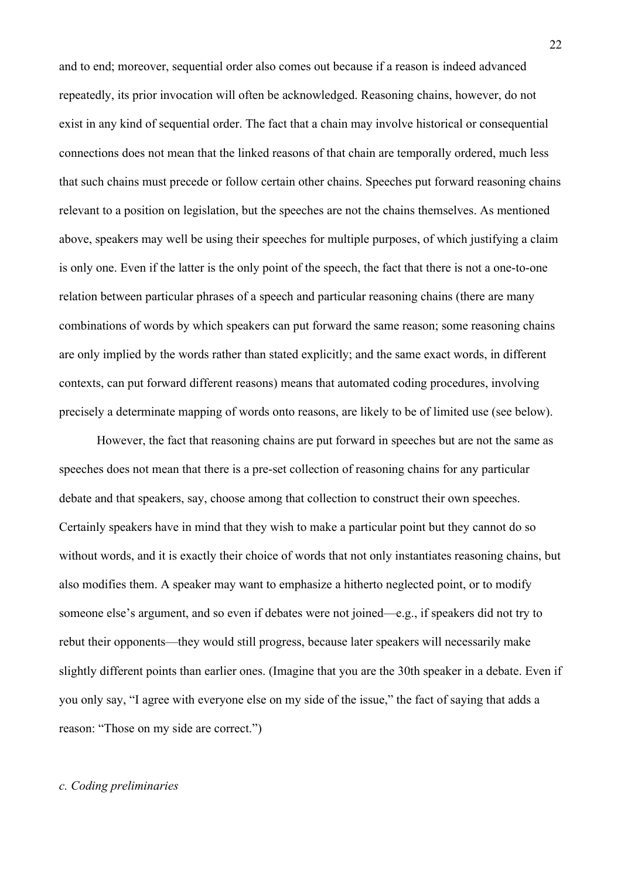and to end; moreover, sequential order also comes out because if a reason is indeed advanced repeatedly, its prior invocation will often be acknowledged. Reasoning chains, however, do not exist in any kind of sequential order. The fact that a chain may involve historical or consequential connections does not mean that the linked reasons of that chain are temporally ordered, much less that such chains must precede or follow certain other chains. Speeches put forward reasoning chains relevant to a position on legislation, but the speeches are not the chains themselves. As mentioned above, speakers may well be using their speeches for multiple purposes, of which justifying a claim is only one. Even if the latter is the only point of the speech, the fact that there is not a one-to-one relation between particular phrases of a speech and particular reasoning chains (there are many combinations of words by which speakers can put forward the same reason; some reasoning chains are only implied by the words rather than stated explicitly; and the same exact words, in different contexts, can put forward different reasons) means that automated coding procedures, involving precisely a determinate mapping of words onto reasons, are likely to be of limited use (see below).

However, the fact that reasoning chains are put forward in speeches but are not the same as speeches does not mean that there is a pre-set collection of reasoning chains for any particular debate and that speakers, say, choose among that collection to construct their own speeches. Certainly speakers have in mind that they wish to make a particular point but they cannot do so without words, and it is exactly their choice of words that not only instantiates reasoning chains, but also modifies them. A speaker may want to emphasize a hitherto neglected point, or to modify someone else's argument, and so even if debates were not joined—e.g., if speakers did not try to rebut their opponents—they would still progress, because later speakers will necessarily make slightly different points than earlier ones. (Imagine that you are the 30th speaker in a debate. Even if you only say, "I agree with everyone else on my side of the issue," the fact of saying that adds a reason: "Those on my side are correct.")

#### *c. Coding preliminaries*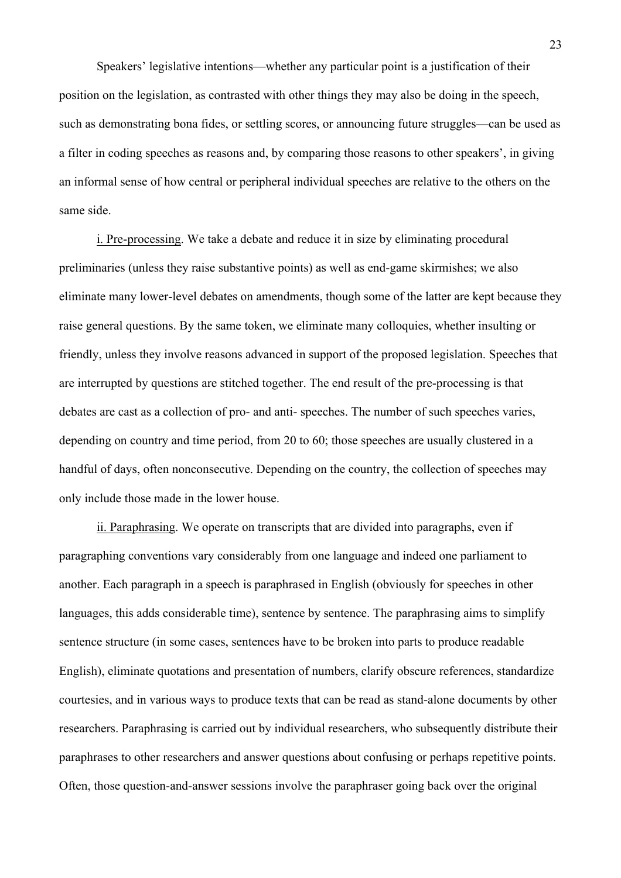Speakers' legislative intentions—whether any particular point is a justification of their position on the legislation, as contrasted with other things they may also be doing in the speech, such as demonstrating bona fides, or settling scores, or announcing future struggles—can be used as a filter in coding speeches as reasons and, by comparing those reasons to other speakers', in giving an informal sense of how central or peripheral individual speeches are relative to the others on the same side.

i. Pre-processing. We take a debate and reduce it in size by eliminating procedural preliminaries (unless they raise substantive points) as well as end-game skirmishes; we also eliminate many lower-level debates on amendments, though some of the latter are kept because they raise general questions. By the same token, we eliminate many colloquies, whether insulting or friendly, unless they involve reasons advanced in support of the proposed legislation. Speeches that are interrupted by questions are stitched together. The end result of the pre-processing is that debates are cast as a collection of pro- and anti- speeches. The number of such speeches varies, depending on country and time period, from 20 to 60; those speeches are usually clustered in a handful of days, often nonconsecutive. Depending on the country, the collection of speeches may only include those made in the lower house.

ii. Paraphrasing. We operate on transcripts that are divided into paragraphs, even if paragraphing conventions vary considerably from one language and indeed one parliament to another. Each paragraph in a speech is paraphrased in English (obviously for speeches in other languages, this adds considerable time), sentence by sentence. The paraphrasing aims to simplify sentence structure (in some cases, sentences have to be broken into parts to produce readable English), eliminate quotations and presentation of numbers, clarify obscure references, standardize courtesies, and in various ways to produce texts that can be read as stand-alone documents by other researchers. Paraphrasing is carried out by individual researchers, who subsequently distribute their paraphrases to other researchers and answer questions about confusing or perhaps repetitive points. Often, those question-and-answer sessions involve the paraphraser going back over the original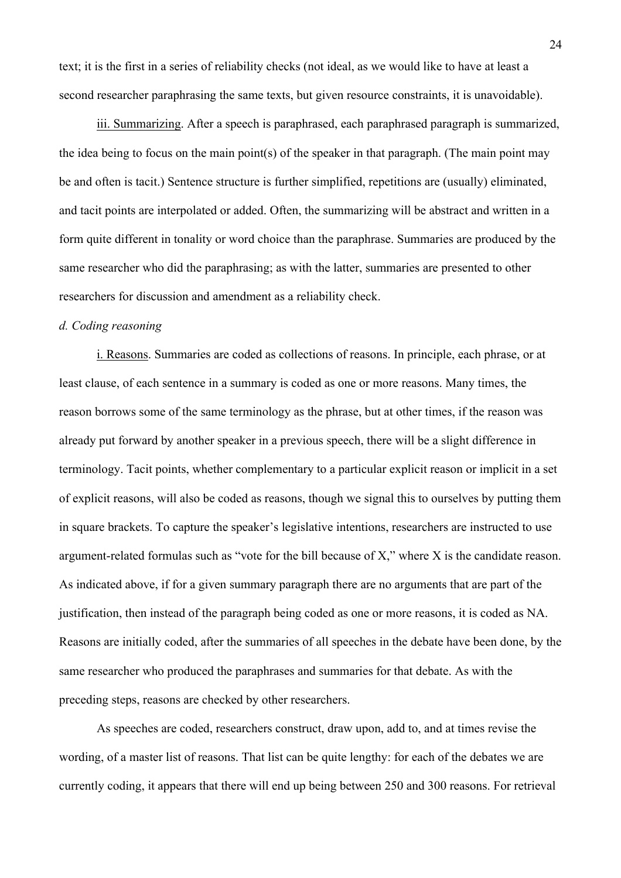text; it is the first in a series of reliability checks (not ideal, as we would like to have at least a second researcher paraphrasing the same texts, but given resource constraints, it is unavoidable).

iii. Summarizing. After a speech is paraphrased, each paraphrased paragraph is summarized, the idea being to focus on the main point(s) of the speaker in that paragraph. (The main point may be and often is tacit.) Sentence structure is further simplified, repetitions are (usually) eliminated, and tacit points are interpolated or added. Often, the summarizing will be abstract and written in a form quite different in tonality or word choice than the paraphrase. Summaries are produced by the same researcher who did the paraphrasing; as with the latter, summaries are presented to other researchers for discussion and amendment as a reliability check.

### *d. Coding reasoning*

i. Reasons. Summaries are coded as collections of reasons. In principle, each phrase, or at least clause, of each sentence in a summary is coded as one or more reasons. Many times, the reason borrows some of the same terminology as the phrase, but at other times, if the reason was already put forward by another speaker in a previous speech, there will be a slight difference in terminology. Tacit points, whether complementary to a particular explicit reason or implicit in a set of explicit reasons, will also be coded as reasons, though we signal this to ourselves by putting them in square brackets. To capture the speaker's legislative intentions, researchers are instructed to use argument-related formulas such as "vote for the bill because of X," where X is the candidate reason. As indicated above, if for a given summary paragraph there are no arguments that are part of the justification, then instead of the paragraph being coded as one or more reasons, it is coded as NA. Reasons are initially coded, after the summaries of all speeches in the debate have been done, by the same researcher who produced the paraphrases and summaries for that debate. As with the preceding steps, reasons are checked by other researchers.

As speeches are coded, researchers construct, draw upon, add to, and at times revise the wording, of a master list of reasons. That list can be quite lengthy: for each of the debates we are currently coding, it appears that there will end up being between 250 and 300 reasons. For retrieval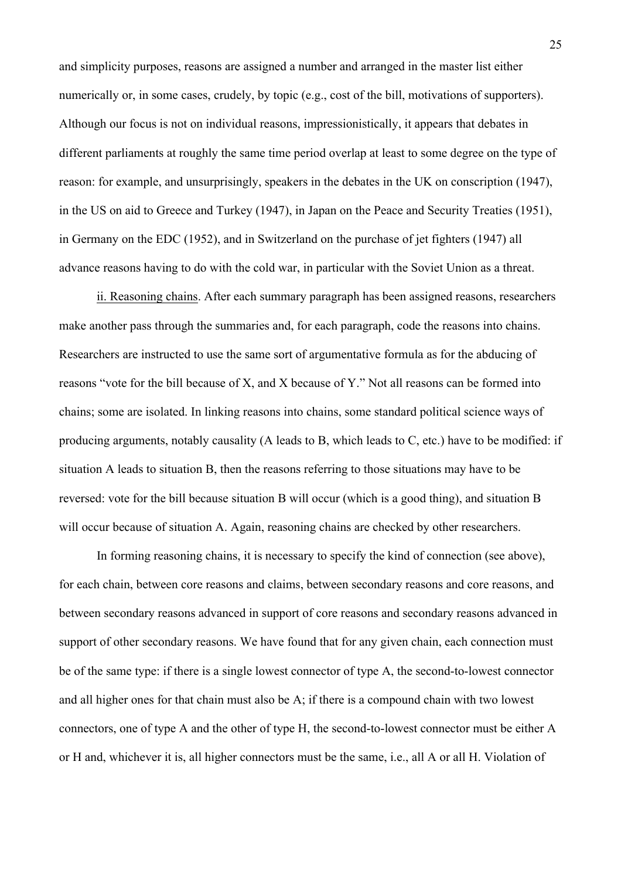and simplicity purposes, reasons are assigned a number and arranged in the master list either numerically or, in some cases, crudely, by topic (e.g., cost of the bill, motivations of supporters). Although our focus is not on individual reasons, impressionistically, it appears that debates in different parliaments at roughly the same time period overlap at least to some degree on the type of reason: for example, and unsurprisingly, speakers in the debates in the UK on conscription (1947), in the US on aid to Greece and Turkey (1947), in Japan on the Peace and Security Treaties (1951), in Germany on the EDC (1952), and in Switzerland on the purchase of jet fighters (1947) all advance reasons having to do with the cold war, in particular with the Soviet Union as a threat.

ii. Reasoning chains. After each summary paragraph has been assigned reasons, researchers make another pass through the summaries and, for each paragraph, code the reasons into chains. Researchers are instructed to use the same sort of argumentative formula as for the abducing of reasons "vote for the bill because of X, and X because of Y." Not all reasons can be formed into chains; some are isolated. In linking reasons into chains, some standard political science ways of producing arguments, notably causality (A leads to B, which leads to C, etc.) have to be modified: if situation A leads to situation B, then the reasons referring to those situations may have to be reversed: vote for the bill because situation B will occur (which is a good thing), and situation B will occur because of situation A. Again, reasoning chains are checked by other researchers.

In forming reasoning chains, it is necessary to specify the kind of connection (see above), for each chain, between core reasons and claims, between secondary reasons and core reasons, and between secondary reasons advanced in support of core reasons and secondary reasons advanced in support of other secondary reasons. We have found that for any given chain, each connection must be of the same type: if there is a single lowest connector of type A, the second-to-lowest connector and all higher ones for that chain must also be A; if there is a compound chain with two lowest connectors, one of type A and the other of type H, the second-to-lowest connector must be either A or H and, whichever it is, all higher connectors must be the same, i.e., all A or all H. Violation of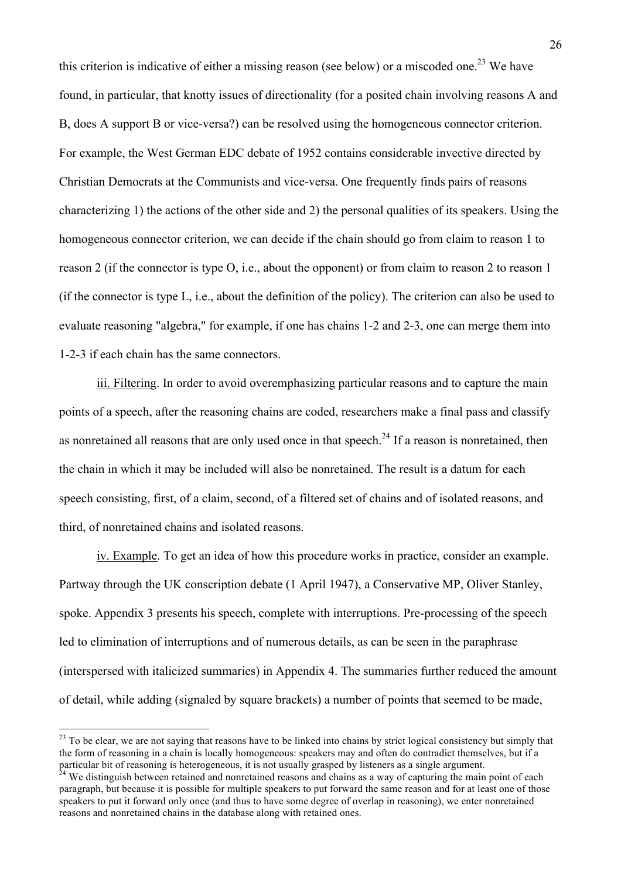this criterion is indicative of either a missing reason (see below) or a miscoded one.<sup>23</sup> We have found, in particular, that knotty issues of directionality (for a posited chain involving reasons A and B, does A support B or vice-versa?) can be resolved using the homogeneous connector criterion. For example, the West German EDC debate of 1952 contains considerable invective directed by Christian Democrats at the Communists and vice-versa. One frequently finds pairs of reasons characterizing 1) the actions of the other side and 2) the personal qualities of its speakers. Using the homogeneous connector criterion, we can decide if the chain should go from claim to reason 1 to reason 2 (if the connector is type O, i.e., about the opponent) or from claim to reason 2 to reason 1 (if the connector is type L, i.e., about the definition of the policy). The criterion can also be used to evaluate reasoning "algebra," for example, if one has chains 1-2 and 2-3, one can merge them into 1-2-3 if each chain has the same connectors.

iii. Filtering. In order to avoid overemphasizing particular reasons and to capture the main points of a speech, after the reasoning chains are coded, researchers make a final pass and classify as nonretained all reasons that are only used once in that speech.<sup>24</sup> If a reason is nonretained, then the chain in which it may be included will also be nonretained. The result is a datum for each speech consisting, first, of a claim, second, of a filtered set of chains and of isolated reasons, and third, of nonretained chains and isolated reasons.

iv. Example. To get an idea of how this procedure works in practice, consider an example. Partway through the UK conscription debate (1 April 1947), a Conservative MP, Oliver Stanley, spoke. Appendix 3 presents his speech, complete with interruptions. Pre-processing of the speech led to elimination of interruptions and of numerous details, as can be seen in the paraphrase (interspersed with italicized summaries) in Appendix 4. The summaries further reduced the amount of detail, while adding (signaled by square brackets) a number of points that seemed to be made,

<sup>&</sup>lt;sup>23</sup> To be clear, we are not saying that reasons have to be linked into chains by strict logical consistency but simply that the form of reasoning in a chain is locally homogeneous: speakers may and often do contradict themselves, but if a particular bit of reasoning is heterogeneous, it is not usually grasped by listeners as a single argument.<br><sup>24</sup> We distinguish between retained and nonretained reasons and chains as a way of capturing the main point of eac

paragraph, but because it is possible for multiple speakers to put forward the same reason and for at least one of those speakers to put it forward only once (and thus to have some degree of overlap in reasoning), we enter nonretained reasons and nonretained chains in the database along with retained ones.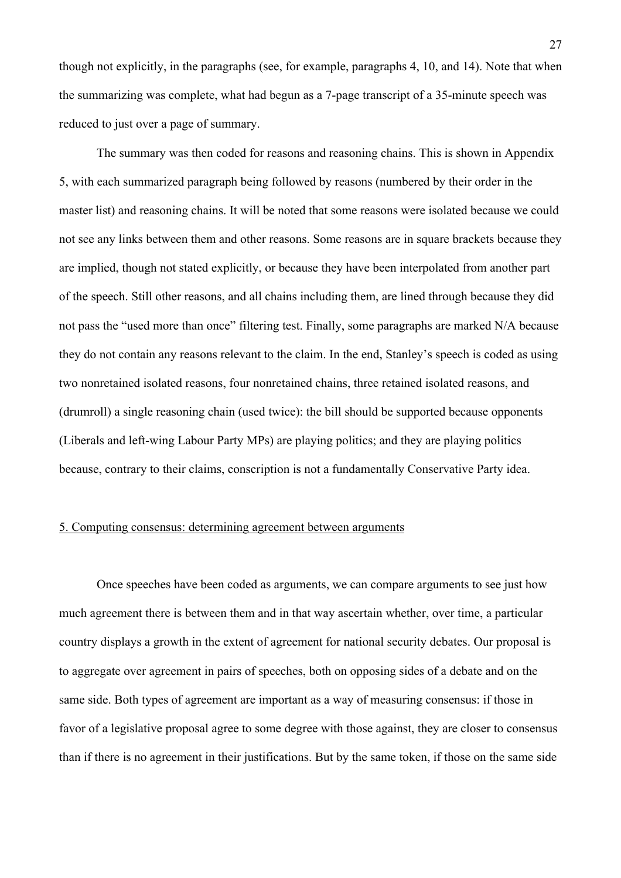though not explicitly, in the paragraphs (see, for example, paragraphs 4, 10, and 14). Note that when the summarizing was complete, what had begun as a 7-page transcript of a 35-minute speech was reduced to just over a page of summary.

The summary was then coded for reasons and reasoning chains. This is shown in Appendix 5, with each summarized paragraph being followed by reasons (numbered by their order in the master list) and reasoning chains. It will be noted that some reasons were isolated because we could not see any links between them and other reasons. Some reasons are in square brackets because they are implied, though not stated explicitly, or because they have been interpolated from another part of the speech. Still other reasons, and all chains including them, are lined through because they did not pass the "used more than once" filtering test. Finally, some paragraphs are marked N/A because they do not contain any reasons relevant to the claim. In the end, Stanley's speech is coded as using two nonretained isolated reasons, four nonretained chains, three retained isolated reasons, and (drumroll) a single reasoning chain (used twice): the bill should be supported because opponents (Liberals and left-wing Labour Party MPs) are playing politics; and they are playing politics because, contrary to their claims, conscription is not a fundamentally Conservative Party idea.

## 5. Computing consensus: determining agreement between arguments

Once speeches have been coded as arguments, we can compare arguments to see just how much agreement there is between them and in that way ascertain whether, over time, a particular country displays a growth in the extent of agreement for national security debates. Our proposal is to aggregate over agreement in pairs of speeches, both on opposing sides of a debate and on the same side. Both types of agreement are important as a way of measuring consensus: if those in favor of a legislative proposal agree to some degree with those against, they are closer to consensus than if there is no agreement in their justifications. But by the same token, if those on the same side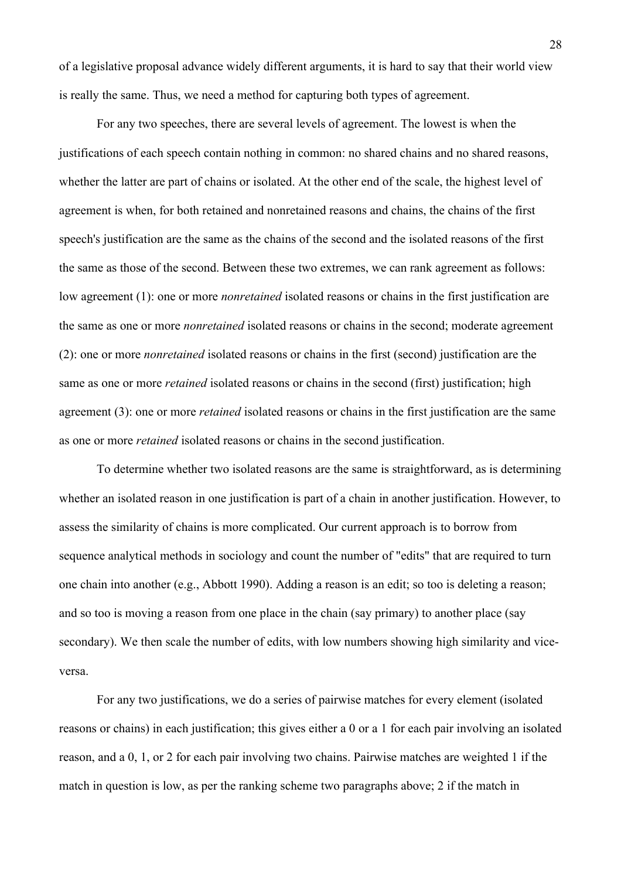of a legislative proposal advance widely different arguments, it is hard to say that their world view is really the same. Thus, we need a method for capturing both types of agreement.

For any two speeches, there are several levels of agreement. The lowest is when the justifications of each speech contain nothing in common: no shared chains and no shared reasons, whether the latter are part of chains or isolated. At the other end of the scale, the highest level of agreement is when, for both retained and nonretained reasons and chains, the chains of the first speech's justification are the same as the chains of the second and the isolated reasons of the first the same as those of the second. Between these two extremes, we can rank agreement as follows: low agreement (1): one or more *nonretained* isolated reasons or chains in the first justification are the same as one or more *nonretained* isolated reasons or chains in the second; moderate agreement (2): one or more *nonretained* isolated reasons or chains in the first (second) justification are the same as one or more *retained* isolated reasons or chains in the second (first) justification; high agreement (3): one or more *retained* isolated reasons or chains in the first justification are the same as one or more *retained* isolated reasons or chains in the second justification.

To determine whether two isolated reasons are the same is straightforward, as is determining whether an isolated reason in one justification is part of a chain in another justification. However, to assess the similarity of chains is more complicated. Our current approach is to borrow from sequence analytical methods in sociology and count the number of "edits" that are required to turn one chain into another (e.g., Abbott 1990). Adding a reason is an edit; so too is deleting a reason; and so too is moving a reason from one place in the chain (say primary) to another place (say secondary). We then scale the number of edits, with low numbers showing high similarity and viceversa.

For any two justifications, we do a series of pairwise matches for every element (isolated reasons or chains) in each justification; this gives either a 0 or a 1 for each pair involving an isolated reason, and a 0, 1, or 2 for each pair involving two chains. Pairwise matches are weighted 1 if the match in question is low, as per the ranking scheme two paragraphs above; 2 if the match in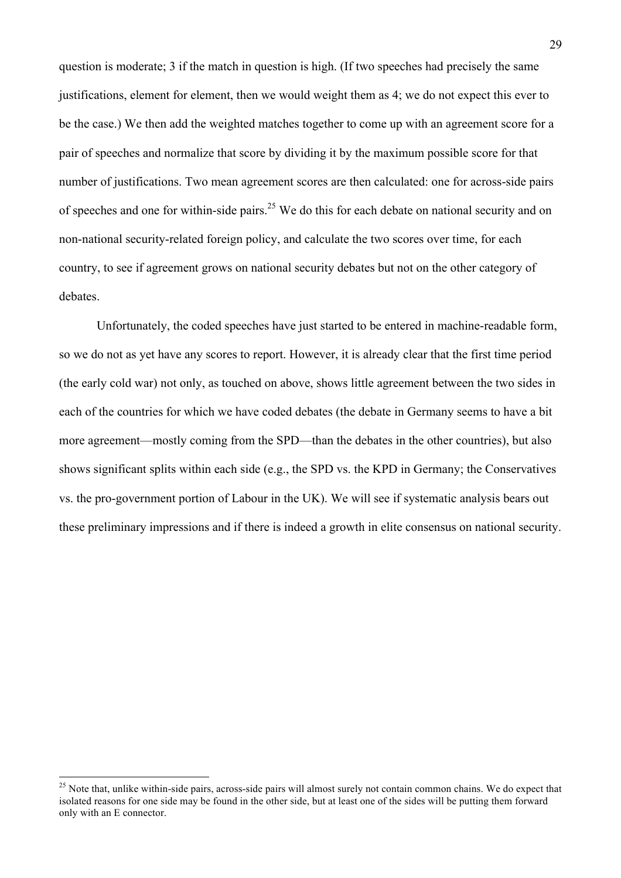question is moderate; 3 if the match in question is high. (If two speeches had precisely the same justifications, element for element, then we would weight them as 4; we do not expect this ever to be the case.) We then add the weighted matches together to come up with an agreement score for a pair of speeches and normalize that score by dividing it by the maximum possible score for that number of justifications. Two mean agreement scores are then calculated: one for across-side pairs of speeches and one for within-side pairs.<sup>25</sup> We do this for each debate on national security and on non-national security-related foreign policy, and calculate the two scores over time, for each country, to see if agreement grows on national security debates but not on the other category of debates.

Unfortunately, the coded speeches have just started to be entered in machine-readable form, so we do not as yet have any scores to report. However, it is already clear that the first time period (the early cold war) not only, as touched on above, shows little agreement between the two sides in each of the countries for which we have coded debates (the debate in Germany seems to have a bit more agreement—mostly coming from the SPD—than the debates in the other countries), but also shows significant splits within each side (e.g., the SPD vs. the KPD in Germany; the Conservatives vs. the pro-government portion of Labour in the UK). We will see if systematic analysis bears out these preliminary impressions and if there is indeed a growth in elite consensus on national security.

<sup>&</sup>lt;sup>25</sup> Note that, unlike within-side pairs, across-side pairs will almost surely not contain common chains. We do expect that isolated reasons for one side may be found in the other side, but at least one of the sides will be putting them forward only with an E connector.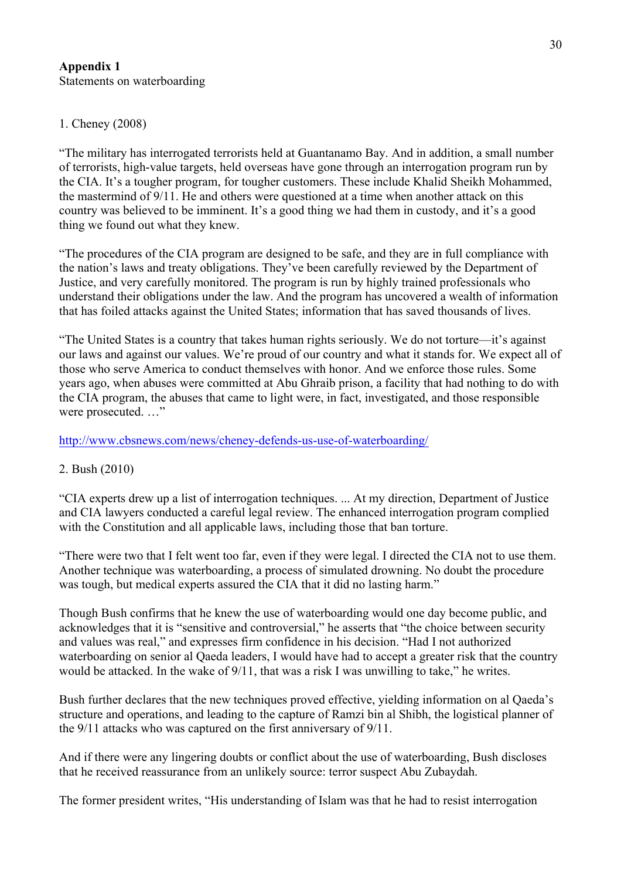# **Appendix 1**  Statements on waterboarding

# 1. Cheney (2008)

"The military has interrogated terrorists held at Guantanamo Bay. And in addition, a small number of terrorists, high-value targets, held overseas have gone through an interrogation program run by the CIA. It's a tougher program, for tougher customers. These include Khalid Sheikh Mohammed, the mastermind of 9/11. He and others were questioned at a time when another attack on this country was believed to be imminent. It's a good thing we had them in custody, and it's a good thing we found out what they knew.

"The procedures of the CIA program are designed to be safe, and they are in full compliance with the nation's laws and treaty obligations. They've been carefully reviewed by the Department of Justice, and very carefully monitored. The program is run by highly trained professionals who understand their obligations under the law. And the program has uncovered a wealth of information that has foiled attacks against the United States; information that has saved thousands of lives.

"The United States is a country that takes human rights seriously. We do not torture—it's against our laws and against our values. We're proud of our country and what it stands for. We expect all of those who serve America to conduct themselves with honor. And we enforce those rules. Some years ago, when abuses were committed at Abu Ghraib prison, a facility that had nothing to do with the CIA program, the abuses that came to light were, in fact, investigated, and those responsible were prosecuted. …"

# http://www.cbsnews.com/news/cheney-defends-us-use-of-waterboarding/

# 2. Bush (2010)

"CIA experts drew up a list of interrogation techniques. ... At my direction, Department of Justice and CIA lawyers conducted a careful legal review. The enhanced interrogation program complied with the Constitution and all applicable laws, including those that ban torture.

"There were two that I felt went too far, even if they were legal. I directed the CIA not to use them. Another technique was waterboarding, a process of simulated drowning. No doubt the procedure was tough, but medical experts assured the CIA that it did no lasting harm."

Though Bush confirms that he knew the use of waterboarding would one day become public, and acknowledges that it is "sensitive and controversial," he asserts that "the choice between security and values was real," and expresses firm confidence in his decision. "Had I not authorized waterboarding on senior al Qaeda leaders, I would have had to accept a greater risk that the country would be attacked. In the wake of 9/11, that was a risk I was unwilling to take," he writes.

Bush further declares that the new techniques proved effective, yielding information on al Qaeda's structure and operations, and leading to the capture of Ramzi bin al Shibh, the logistical planner of the 9/11 attacks who was captured on the first anniversary of 9/11.

And if there were any lingering doubts or conflict about the use of waterboarding, Bush discloses that he received reassurance from an unlikely source: terror suspect Abu Zubaydah.

The former president writes, "His understanding of Islam was that he had to resist interrogation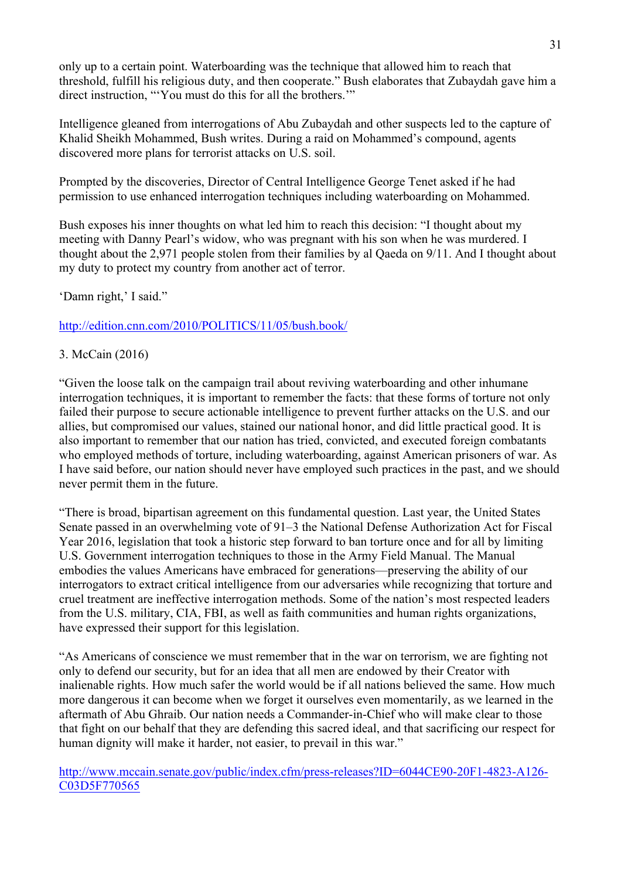only up to a certain point. Waterboarding was the technique that allowed him to reach that threshold, fulfill his religious duty, and then cooperate." Bush elaborates that Zubaydah gave him a direct instruction, "'You must do this for all the brothers.""

Intelligence gleaned from interrogations of Abu Zubaydah and other suspects led to the capture of Khalid Sheikh Mohammed, Bush writes. During a raid on Mohammed's compound, agents discovered more plans for terrorist attacks on U.S. soil.

Prompted by the discoveries, Director of Central Intelligence George Tenet asked if he had permission to use enhanced interrogation techniques including waterboarding on Mohammed.

Bush exposes his inner thoughts on what led him to reach this decision: "I thought about my meeting with Danny Pearl's widow, who was pregnant with his son when he was murdered. I thought about the 2,971 people stolen from their families by al Qaeda on 9/11. And I thought about my duty to protect my country from another act of terror.

'Damn right,' I said."

http://edition.cnn.com/2010/POLITICS/11/05/bush.book/

## 3. McCain (2016)

"Given the loose talk on the campaign trail about reviving waterboarding and other inhumane interrogation techniques, it is important to remember the facts: that these forms of torture not only failed their purpose to secure actionable intelligence to prevent further attacks on the U.S. and our allies, but compromised our values, stained our national honor, and did little practical good. It is also important to remember that our nation has tried, convicted, and executed foreign combatants who employed methods of torture, including waterboarding, against American prisoners of war. As I have said before, our nation should never have employed such practices in the past, and we should never permit them in the future.

"There is broad, bipartisan agreement on this fundamental question. Last year, the United States Senate passed in an overwhelming vote of 91–3 the National Defense Authorization Act for Fiscal Year 2016, legislation that took a historic step forward to ban torture once and for all by limiting U.S. Government interrogation techniques to those in the Army Field Manual. The Manual embodies the values Americans have embraced for generations—preserving the ability of our interrogators to extract critical intelligence from our adversaries while recognizing that torture and cruel treatment are ineffective interrogation methods. Some of the nation's most respected leaders from the U.S. military, CIA, FBI, as well as faith communities and human rights organizations, have expressed their support for this legislation.

"As Americans of conscience we must remember that in the war on terrorism, we are fighting not only to defend our security, but for an idea that all men are endowed by their Creator with inalienable rights. How much safer the world would be if all nations believed the same. How much more dangerous it can become when we forget it ourselves even momentarily, as we learned in the aftermath of Abu Ghraib. Our nation needs a Commander-in-Chief who will make clear to those that fight on our behalf that they are defending this sacred ideal, and that sacrificing our respect for human dignity will make it harder, not easier, to prevail in this war."

http://www.mccain.senate.gov/public/index.cfm/press-releases?ID=6044CE90-20F1-4823-A126- C03D5F770565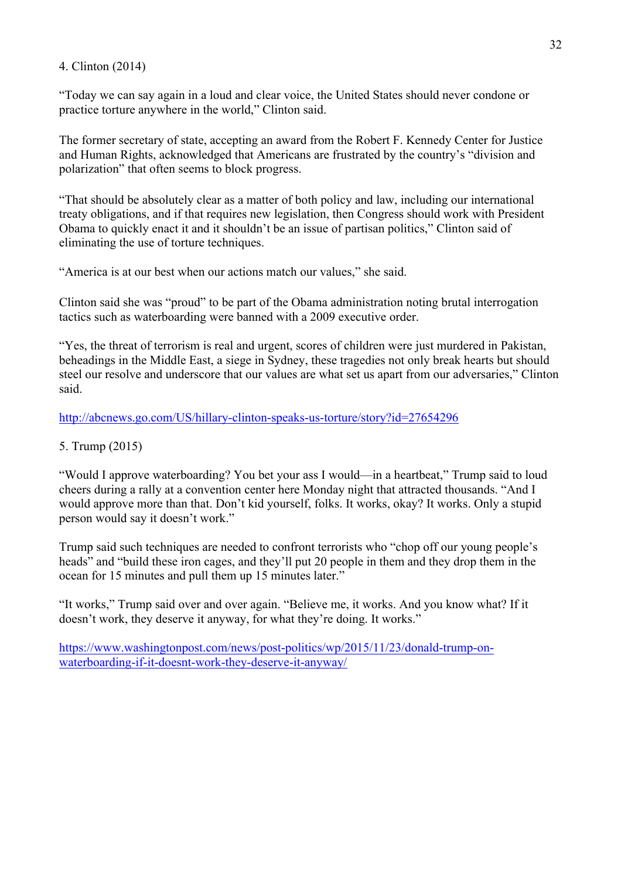## 4. Clinton (2014)

"Today we can say again in a loud and clear voice, the United States should never condone or practice torture anywhere in the world," Clinton said.

The former secretary of state, accepting an award from the Robert F. Kennedy Center for Justice and Human Rights, acknowledged that Americans are frustrated by the country's "division and polarization" that often seems to block progress.

"That should be absolutely clear as a matter of both policy and law, including our international treaty obligations, and if that requires new legislation, then Congress should work with President Obama to quickly enact it and it shouldn't be an issue of partisan politics," Clinton said of eliminating the use of torture techniques.

"America is at our best when our actions match our values," she said.

Clinton said she was "proud" to be part of the Obama administration noting brutal interrogation tactics such as waterboarding were banned with a 2009 executive order.

"Yes, the threat of terrorism is real and urgent, scores of children were just murdered in Pakistan, beheadings in the Middle East, a siege in Sydney, these tragedies not only break hearts but should steel our resolve and underscore that our values are what set us apart from our adversaries," Clinton said.

http://abcnews.go.com/US/hillary-clinton-speaks-us-torture/story?id=27654296

# 5. Trump (2015)

"Would I approve waterboarding? You bet your ass I would—in a heartbeat," Trump said to loud cheers during a rally at a convention center here Monday night that attracted thousands. "And I would approve more than that. Don't kid yourself, folks. It works, okay? It works. Only a stupid person would say it doesn't work."

Trump said such techniques are needed to confront terrorists who "chop off our young people's heads" and "build these iron cages, and they'll put 20 people in them and they drop them in the ocean for 15 minutes and pull them up 15 minutes later."

"It works," Trump said over and over again. "Believe me, it works. And you know what? If it doesn't work, they deserve it anyway, for what they're doing. It works."

https://www.washingtonpost.com/news/post-politics/wp/2015/11/23/donald-trump-onwaterboarding-if-it-doesnt-work-they-deserve-it-anyway/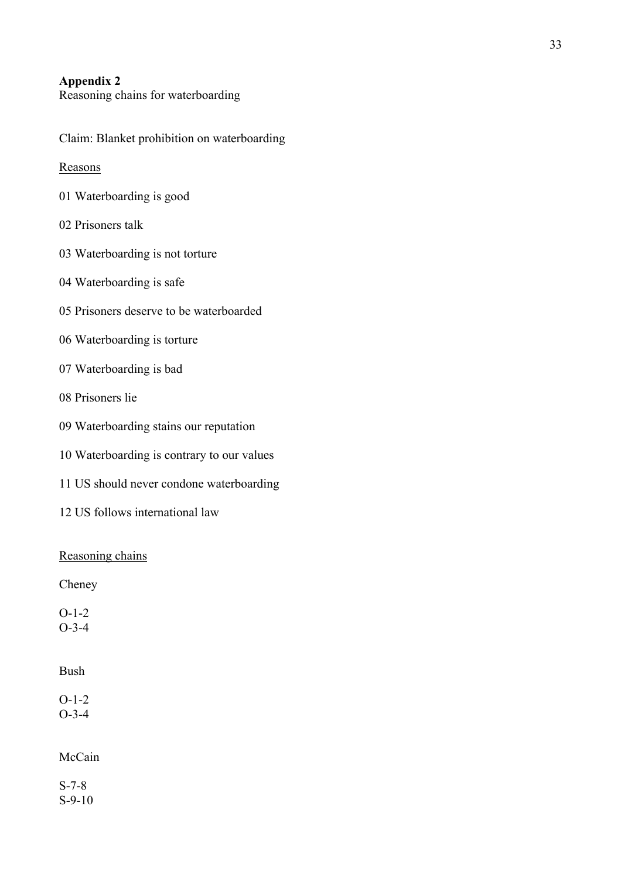# **Appendix 2**

Reasoning chains for waterboarding

Claim: Blanket prohibition on waterboarding

## Reasons

- 01 Waterboarding is good
- 02 Prisoners talk
- 03 Waterboarding is not torture
- 04 Waterboarding is safe
- 05 Prisoners deserve to be waterboarded
- 06 Waterboarding is torture
- 07 Waterboarding is bad
- 08 Prisoners lie
- 09 Waterboarding stains our reputation
- 10 Waterboarding is contrary to our values
- 11 US should never condone waterboarding
- 12 US follows international law

## Reasoning chains

Cheney

O-1-2 O-3-4

## Bush

O-1-2 O-3-4

## McCain

S-7-8 S-9-10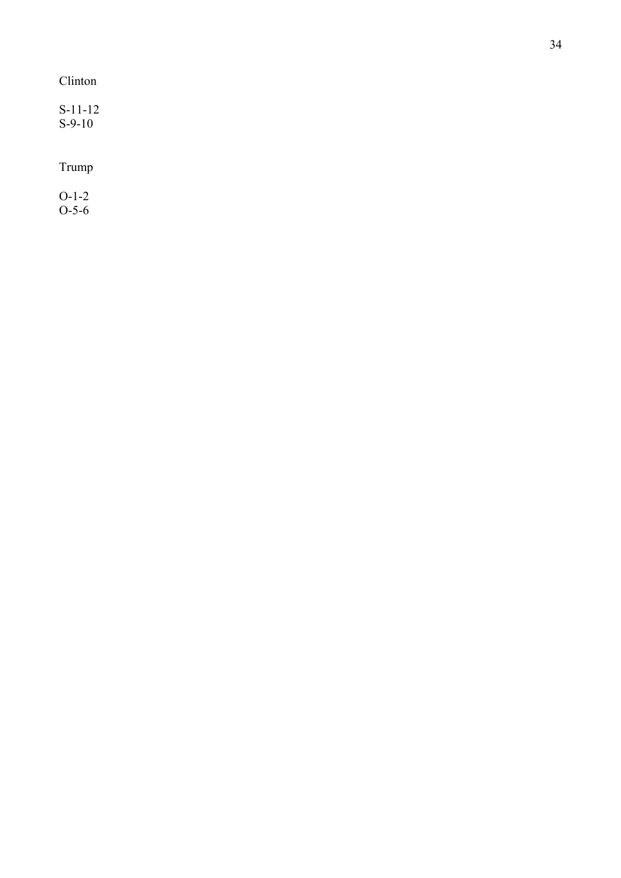# Clinton

| $S-11-12$ |  |
|-----------|--|
| $S-9-10$  |  |

# Trump

O-1-2 O-5-6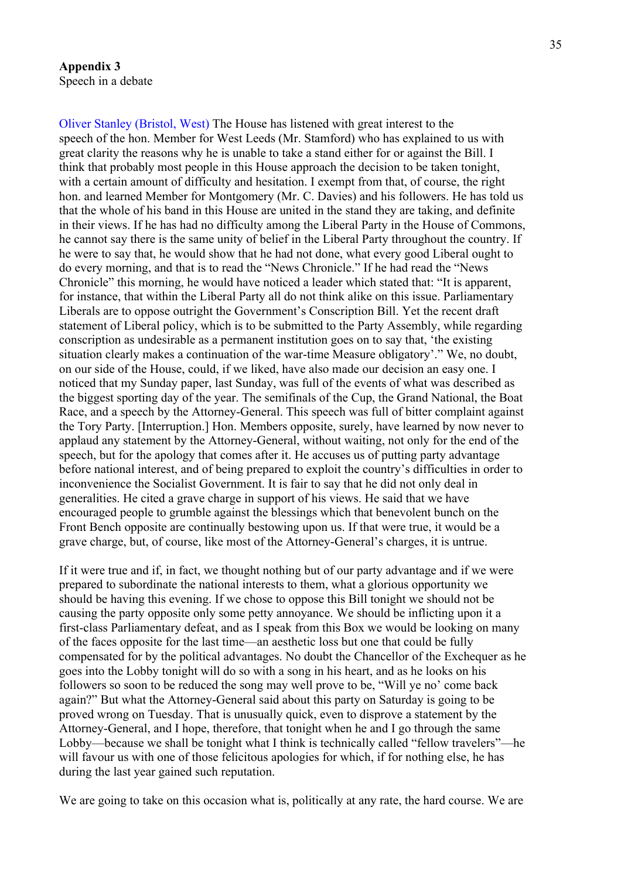## **Appendix 3** Speech in a debate

Oliver Stanley (Bristol, West) The House has listened with great interest to the speech of the hon. Member for West Leeds (Mr. Stamford) who has explained to us with great clarity the reasons why he is unable to take a stand either for or against the Bill. I think that probably most people in this House approach the decision to be taken tonight, with a certain amount of difficulty and hesitation. I exempt from that, of course, the right hon. and learned Member for Montgomery (Mr. C. Davies) and his followers. He has told us that the whole of his band in this House are united in the stand they are taking, and definite in their views. If he has had no difficulty among the Liberal Party in the House of Commons, he cannot say there is the same unity of belief in the Liberal Party throughout the country. If he were to say that, he would show that he had not done, what every good Liberal ought to do every morning, and that is to read the "News Chronicle." If he had read the "News Chronicle" this morning, he would have noticed a leader which stated that: "It is apparent, for instance, that within the Liberal Party all do not think alike on this issue. Parliamentary Liberals are to oppose outright the Government's Conscription Bill. Yet the recent draft statement of Liberal policy, which is to be submitted to the Party Assembly, while regarding conscription as undesirable as a permanent institution goes on to say that, 'the existing situation clearly makes a continuation of the war-time Measure obligatory'." We, no doubt, on our side of the House, could, if we liked, have also made our decision an easy one. I noticed that my Sunday paper, last Sunday, was full of the events of what was described as the biggest sporting day of the year. The semifinals of the Cup, the Grand National, the Boat Race, and a speech by the Attorney-General. This speech was full of bitter complaint against the Tory Party. [Interruption.] Hon. Members opposite, surely, have learned by now never to applaud any statement by the Attorney-General, without waiting, not only for the end of the speech, but for the apology that comes after it. He accuses us of putting party advantage before national interest, and of being prepared to exploit the country's difficulties in order to inconvenience the Socialist Government. It is fair to say that he did not only deal in generalities. He cited a grave charge in support of his views. He said that we have encouraged people to grumble against the blessings which that benevolent bunch on the Front Bench opposite are continually bestowing upon us. If that were true, it would be a grave charge, but, of course, like most of the Attorney-General's charges, it is untrue.

If it were true and if, in fact, we thought nothing but of our party advantage and if we were prepared to subordinate the national interests to them, what a glorious opportunity we should be having this evening. If we chose to oppose this Bill tonight we should not be causing the party opposite only some petty annoyance. We should be inflicting upon it a first-class Parliamentary defeat, and as I speak from this Box we would be looking on many of the faces opposite for the last time—an aesthetic loss but one that could be fully compensated for by the political advantages. No doubt the Chancellor of the Exchequer as he goes into the Lobby tonight will do so with a song in his heart, and as he looks on his followers so soon to be reduced the song may well prove to be, "Will ye no' come back again?" But what the Attorney-General said about this party on Saturday is going to be proved wrong on Tuesday. That is unusually quick, even to disprove a statement by the Attorney-General, and I hope, therefore, that tonight when he and I go through the same Lobby—because we shall be tonight what I think is technically called "fellow travelers"—he will favour us with one of those felicitous apologies for which, if for nothing else, he has during the last year gained such reputation.

We are going to take on this occasion what is, politically at any rate, the hard course. We are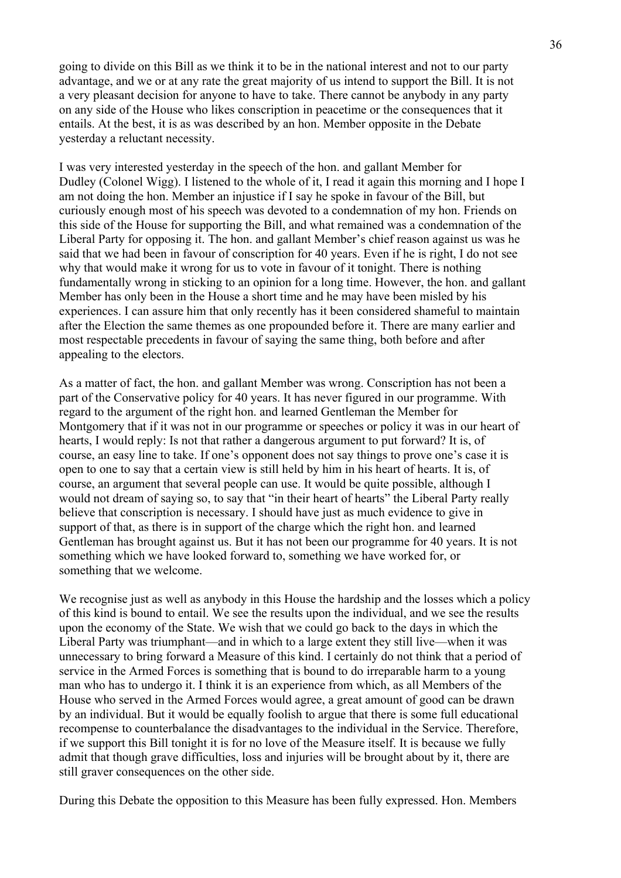going to divide on this Bill as we think it to be in the national interest and not to our party advantage, and we or at any rate the great majority of us intend to support the Bill. It is not a very pleasant decision for anyone to have to take. There cannot be anybody in any party on any side of the House who likes conscription in peacetime or the consequences that it entails. At the best, it is as was described by an hon. Member opposite in the Debate yesterday a reluctant necessity.

I was very interested yesterday in the speech of the hon. and gallant Member for Dudley (Colonel Wigg). I listened to the whole of it, I read it again this morning and I hope I am not doing the hon. Member an injustice if I say he spoke in favour of the Bill, but curiously enough most of his speech was devoted to a condemnation of my hon. Friends on this side of the House for supporting the Bill, and what remained was a condemnation of the Liberal Party for opposing it. The hon. and gallant Member's chief reason against us was he said that we had been in favour of conscription for 40 years. Even if he is right, I do not see why that would make it wrong for us to vote in favour of it tonight. There is nothing fundamentally wrong in sticking to an opinion for a long time. However, the hon. and gallant Member has only been in the House a short time and he may have been misled by his experiences. I can assure him that only recently has it been considered shameful to maintain after the Election the same themes as one propounded before it. There are many earlier and most respectable precedents in favour of saying the same thing, both before and after appealing to the electors.

As a matter of fact, the hon. and gallant Member was wrong. Conscription has not been a part of the Conservative policy for 40 years. It has never figured in our programme. With regard to the argument of the right hon. and learned Gentleman the Member for Montgomery that if it was not in our programme or speeches or policy it was in our heart of hearts, I would reply: Is not that rather a dangerous argument to put forward? It is, of course, an easy line to take. If one's opponent does not say things to prove one's case it is open to one to say that a certain view is still held by him in his heart of hearts. It is, of course, an argument that several people can use. It would be quite possible, although I would not dream of saying so, to say that "in their heart of hearts" the Liberal Party really believe that conscription is necessary. I should have just as much evidence to give in support of that, as there is in support of the charge which the right hon. and learned Gentleman has brought against us. But it has not been our programme for 40 years. It is not something which we have looked forward to, something we have worked for, or something that we welcome.

We recognise just as well as anybody in this House the hardship and the losses which a policy of this kind is bound to entail. We see the results upon the individual, and we see the results upon the economy of the State. We wish that we could go back to the days in which the Liberal Party was triumphant—and in which to a large extent they still live—when it was unnecessary to bring forward a Measure of this kind. I certainly do not think that a period of service in the Armed Forces is something that is bound to do irreparable harm to a young man who has to undergo it. I think it is an experience from which, as all Members of the House who served in the Armed Forces would agree, a great amount of good can be drawn by an individual. But it would be equally foolish to argue that there is some full educational recompense to counterbalance the disadvantages to the individual in the Service. Therefore, if we support this Bill tonight it is for no love of the Measure itself. It is because we fully admit that though grave difficulties, loss and injuries will be brought about by it, there are still graver consequences on the other side.

During this Debate the opposition to this Measure has been fully expressed. Hon. Members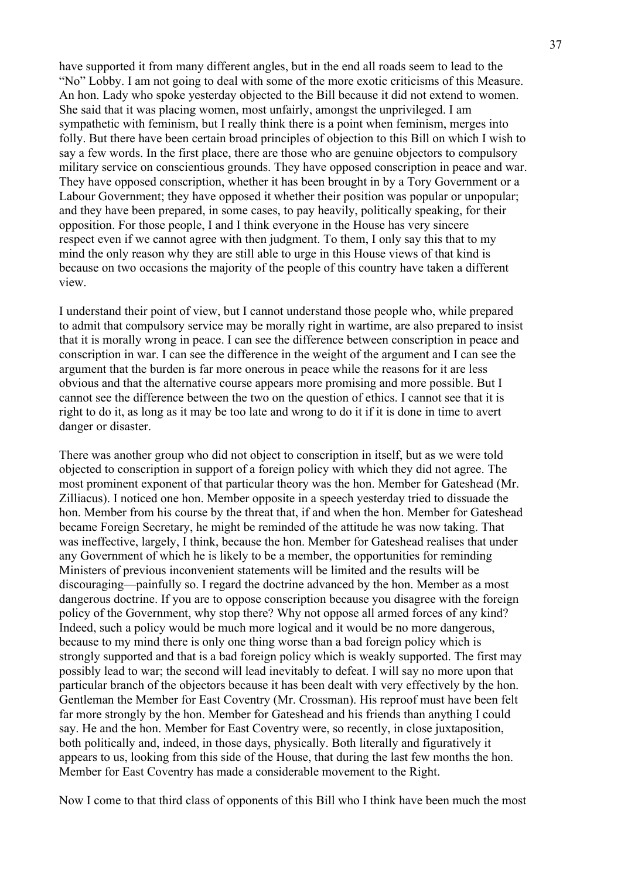have supported it from many different angles, but in the end all roads seem to lead to the "No" Lobby. I am not going to deal with some of the more exotic criticisms of this Measure. An hon. Lady who spoke yesterday objected to the Bill because it did not extend to women. She said that it was placing women, most unfairly, amongst the unprivileged. I am sympathetic with feminism, but I really think there is a point when feminism, merges into folly. But there have been certain broad principles of objection to this Bill on which I wish to say a few words. In the first place, there are those who are genuine objectors to compulsory military service on conscientious grounds. They have opposed conscription in peace and war. They have opposed conscription, whether it has been brought in by a Tory Government or a Labour Government; they have opposed it whether their position was popular or unpopular; and they have been prepared, in some cases, to pay heavily, politically speaking, for their opposition. For those people, I and I think everyone in the House has very sincere respect even if we cannot agree with then judgment. To them, I only say this that to my mind the only reason why they are still able to urge in this House views of that kind is because on two occasions the majority of the people of this country have taken a different view.

I understand their point of view, but I cannot understand those people who, while prepared to admit that compulsory service may be morally right in wartime, are also prepared to insist that it is morally wrong in peace. I can see the difference between conscription in peace and conscription in war. I can see the difference in the weight of the argument and I can see the argument that the burden is far more onerous in peace while the reasons for it are less obvious and that the alternative course appears more promising and more possible. But I cannot see the difference between the two on the question of ethics. I cannot see that it is right to do it, as long as it may be too late and wrong to do it if it is done in time to avert danger or disaster.

There was another group who did not object to conscription in itself, but as we were told objected to conscription in support of a foreign policy with which they did not agree. The most prominent exponent of that particular theory was the hon. Member for Gateshead (Mr. Zilliacus). I noticed one hon. Member opposite in a speech yesterday tried to dissuade the hon. Member from his course by the threat that, if and when the hon. Member for Gateshead became Foreign Secretary, he might be reminded of the attitude he was now taking. That was ineffective, largely, I think, because the hon. Member for Gateshead realises that under any Government of which he is likely to be a member, the opportunities for reminding Ministers of previous inconvenient statements will be limited and the results will be discouraging—painfully so. I regard the doctrine advanced by the hon. Member as a most dangerous doctrine. If you are to oppose conscription because you disagree with the foreign policy of the Government, why stop there? Why not oppose all armed forces of any kind? Indeed, such a policy would be much more logical and it would be no more dangerous, because to my mind there is only one thing worse than a bad foreign policy which is strongly supported and that is a bad foreign policy which is weakly supported. The first may possibly lead to war; the second will lead inevitably to defeat. I will say no more upon that particular branch of the objectors because it has been dealt with very effectively by the hon. Gentleman the Member for East Coventry (Mr. Crossman). His reproof must have been felt far more strongly by the hon. Member for Gateshead and his friends than anything I could say. He and the hon. Member for East Coventry were, so recently, in close juxtaposition, both politically and, indeed, in those days, physically. Both literally and figuratively it appears to us, looking from this side of the House, that during the last few months the hon. Member for East Coventry has made a considerable movement to the Right.

Now I come to that third class of opponents of this Bill who I think have been much the most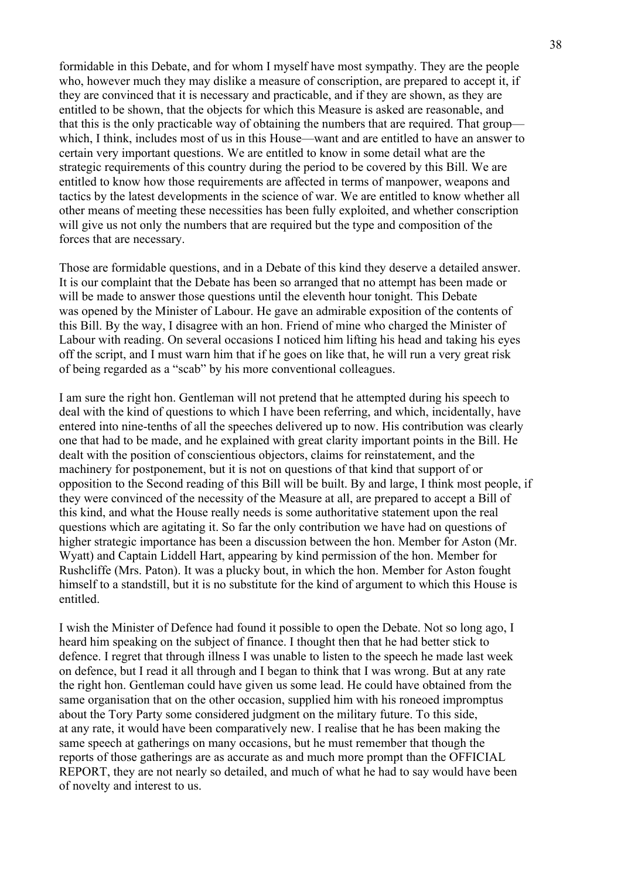formidable in this Debate, and for whom I myself have most sympathy. They are the people who, however much they may dislike a measure of conscription, are prepared to accept it, if they are convinced that it is necessary and practicable, and if they are shown, as they are entitled to be shown, that the objects for which this Measure is asked are reasonable, and that this is the only practicable way of obtaining the numbers that are required. That group which, I think, includes most of us in this House—want and are entitled to have an answer to certain very important questions. We are entitled to know in some detail what are the strategic requirements of this country during the period to be covered by this Bill. We are entitled to know how those requirements are affected in terms of manpower, weapons and tactics by the latest developments in the science of war. We are entitled to know whether all other means of meeting these necessities has been fully exploited, and whether conscription will give us not only the numbers that are required but the type and composition of the forces that are necessary.

Those are formidable questions, and in a Debate of this kind they deserve a detailed answer. It is our complaint that the Debate has been so arranged that no attempt has been made or will be made to answer those questions until the eleventh hour tonight. This Debate was opened by the Minister of Labour. He gave an admirable exposition of the contents of this Bill. By the way, I disagree with an hon. Friend of mine who charged the Minister of Labour with reading. On several occasions I noticed him lifting his head and taking his eyes off the script, and I must warn him that if he goes on like that, he will run a very great risk of being regarded as a "scab" by his more conventional colleagues.

I am sure the right hon. Gentleman will not pretend that he attempted during his speech to deal with the kind of questions to which I have been referring, and which, incidentally, have entered into nine-tenths of all the speeches delivered up to now. His contribution was clearly one that had to be made, and he explained with great clarity important points in the Bill. He dealt with the position of conscientious objectors, claims for reinstatement, and the machinery for postponement, but it is not on questions of that kind that support of or opposition to the Second reading of this Bill will be built. By and large, I think most people, if they were convinced of the necessity of the Measure at all, are prepared to accept a Bill of this kind, and what the House really needs is some authoritative statement upon the real questions which are agitating it. So far the only contribution we have had on questions of higher strategic importance has been a discussion between the hon. Member for Aston (Mr. Wyatt) and Captain Liddell Hart, appearing by kind permission of the hon. Member for Rushcliffe (Mrs. Paton). It was a plucky bout, in which the hon. Member for Aston fought himself to a standstill, but it is no substitute for the kind of argument to which this House is entitled.

I wish the Minister of Defence had found it possible to open the Debate. Not so long ago, I heard him speaking on the subject of finance. I thought then that he had better stick to defence. I regret that through illness I was unable to listen to the speech he made last week on defence, but I read it all through and I began to think that I was wrong. But at any rate the right hon. Gentleman could have given us some lead. He could have obtained from the same organisation that on the other occasion, supplied him with his roneoed impromptus about the Tory Party some considered judgment on the military future. To this side, at any rate, it would have been comparatively new. I realise that he has been making the same speech at gatherings on many occasions, but he must remember that though the reports of those gatherings are as accurate as and much more prompt than the OFFICIAL REPORT, they are not nearly so detailed, and much of what he had to say would have been of novelty and interest to us.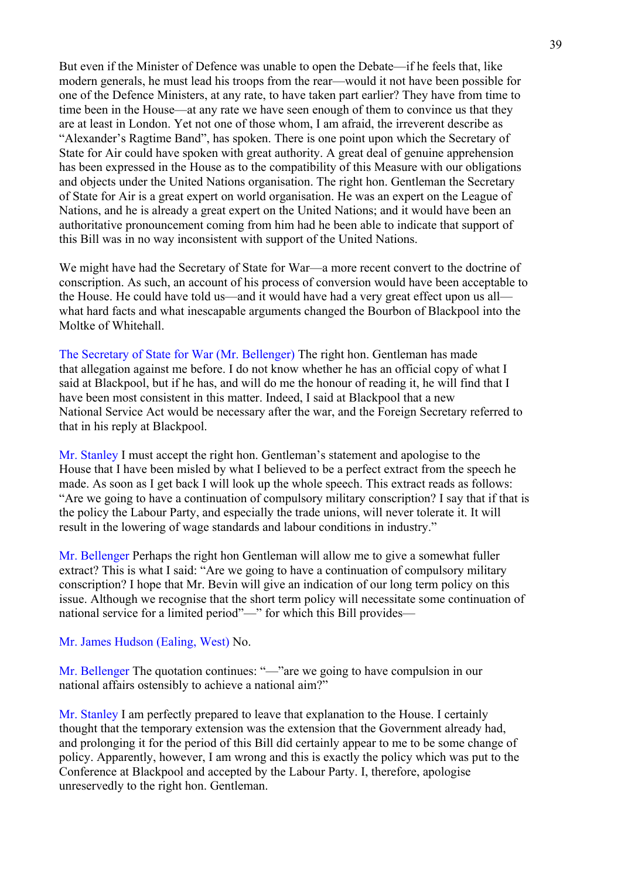But even if the Minister of Defence was unable to open the Debate—if he feels that, like modern generals, he must lead his troops from the rear—would it not have been possible for one of the Defence Ministers, at any rate, to have taken part earlier? They have from time to time been in the House—at any rate we have seen enough of them to convince us that they are at least in London. Yet not one of those whom, I am afraid, the irreverent describe as "Alexander's Ragtime Band", has spoken. There is one point upon which the Secretary of State for Air could have spoken with great authority. A great deal of genuine apprehension has been expressed in the House as to the compatibility of this Measure with our obligations and objects under the United Nations organisation. The right hon. Gentleman the Secretary of State for Air is a great expert on world organisation. He was an expert on the League of Nations, and he is already a great expert on the United Nations; and it would have been an authoritative pronouncement coming from him had he been able to indicate that support of this Bill was in no way inconsistent with support of the United Nations.

We might have had the Secretary of State for War—a more recent convert to the doctrine of conscription. As such, an account of his process of conversion would have been acceptable to the House. He could have told us—and it would have had a very great effect upon us all what hard facts and what inescapable arguments changed the Bourbon of Blackpool into the Moltke of Whitehall.

The Secretary of State for War (Mr. Bellenger) The right hon. Gentleman has made that allegation against me before. I do not know whether he has an official copy of what I said at Blackpool, but if he has, and will do me the honour of reading it, he will find that I have been most consistent in this matter. Indeed, I said at Blackpool that a new National Service Act would be necessary after the war, and the Foreign Secretary referred to that in his reply at Blackpool.

Mr. Stanley I must accept the right hon. Gentleman's statement and apologise to the House that I have been misled by what I believed to be a perfect extract from the speech he made. As soon as I get back I will look up the whole speech. This extract reads as follows: "Are we going to have a continuation of compulsory military conscription? I say that if that is the policy the Labour Party, and especially the trade unions, will never tolerate it. It will result in the lowering of wage standards and labour conditions in industry."

Mr. Bellenger Perhaps the right hon Gentleman will allow me to give a somewhat fuller extract? This is what I said: "Are we going to have a continuation of compulsory military conscription? I hope that Mr. Bevin will give an indication of our long term policy on this issue. Although we recognise that the short term policy will necessitate some continuation of national service for a limited period"—" for which this Bill provides—

#### Mr. James Hudson (Ealing, West) No.

Mr. Bellenger The quotation continues: "—"are we going to have compulsion in our national affairs ostensibly to achieve a national aim?"

Mr. Stanley I am perfectly prepared to leave that explanation to the House. I certainly thought that the temporary extension was the extension that the Government already had, and prolonging it for the period of this Bill did certainly appear to me to be some change of policy. Apparently, however, I am wrong and this is exactly the policy which was put to the Conference at Blackpool and accepted by the Labour Party. I, therefore, apologise unreservedly to the right hon. Gentleman.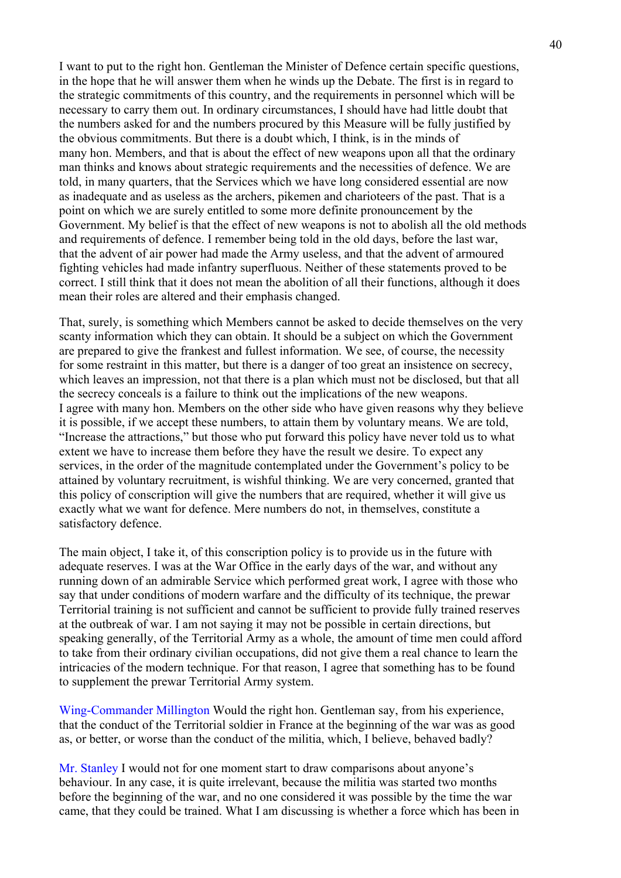I want to put to the right hon. Gentleman the Minister of Defence certain specific questions, in the hope that he will answer them when he winds up the Debate. The first is in regard to the strategic commitments of this country, and the requirements in personnel which will be necessary to carry them out. In ordinary circumstances, I should have had little doubt that the numbers asked for and the numbers procured by this Measure will be fully justified by the obvious commitments. But there is a doubt which, I think, is in the minds of many hon. Members, and that is about the effect of new weapons upon all that the ordinary man thinks and knows about strategic requirements and the necessities of defence. We are told, in many quarters, that the Services which we have long considered essential are now as inadequate and as useless as the archers, pikemen and charioteers of the past. That is a point on which we are surely entitled to some more definite pronouncement by the Government. My belief is that the effect of new weapons is not to abolish all the old methods and requirements of defence. I remember being told in the old days, before the last war, that the advent of air power had made the Army useless, and that the advent of armoured fighting vehicles had made infantry superfluous. Neither of these statements proved to be correct. I still think that it does not mean the abolition of all their functions, although it does mean their roles are altered and their emphasis changed.

That, surely, is something which Members cannot be asked to decide themselves on the very scanty information which they can obtain. It should be a subject on which the Government are prepared to give the frankest and fullest information. We see, of course, the necessity for some restraint in this matter, but there is a danger of too great an insistence on secrecy, which leaves an impression, not that there is a plan which must not be disclosed, but that all the secrecy conceals is a failure to think out the implications of the new weapons. I agree with many hon. Members on the other side who have given reasons why they believe it is possible, if we accept these numbers, to attain them by voluntary means. We are told, "Increase the attractions," but those who put forward this policy have never told us to what extent we have to increase them before they have the result we desire. To expect any services, in the order of the magnitude contemplated under the Government's policy to be attained by voluntary recruitment, is wishful thinking. We are very concerned, granted that this policy of conscription will give the numbers that are required, whether it will give us exactly what we want for defence. Mere numbers do not, in themselves, constitute a satisfactory defence.

The main object, I take it, of this conscription policy is to provide us in the future with adequate reserves. I was at the War Office in the early days of the war, and without any running down of an admirable Service which performed great work, I agree with those who say that under conditions of modern warfare and the difficulty of its technique, the prewar Territorial training is not sufficient and cannot be sufficient to provide fully trained reserves at the outbreak of war. I am not saying it may not be possible in certain directions, but speaking generally, of the Territorial Army as a whole, the amount of time men could afford to take from their ordinary civilian occupations, did not give them a real chance to learn the intricacies of the modern technique. For that reason, I agree that something has to be found to supplement the prewar Territorial Army system.

Wing-Commander Millington Would the right hon. Gentleman say, from his experience, that the conduct of the Territorial soldier in France at the beginning of the war was as good as, or better, or worse than the conduct of the militia, which, I believe, behaved badly?

Mr. Stanley I would not for one moment start to draw comparisons about anyone's behaviour. In any case, it is quite irrelevant, because the militia was started two months before the beginning of the war, and no one considered it was possible by the time the war came, that they could be trained. What I am discussing is whether a force which has been in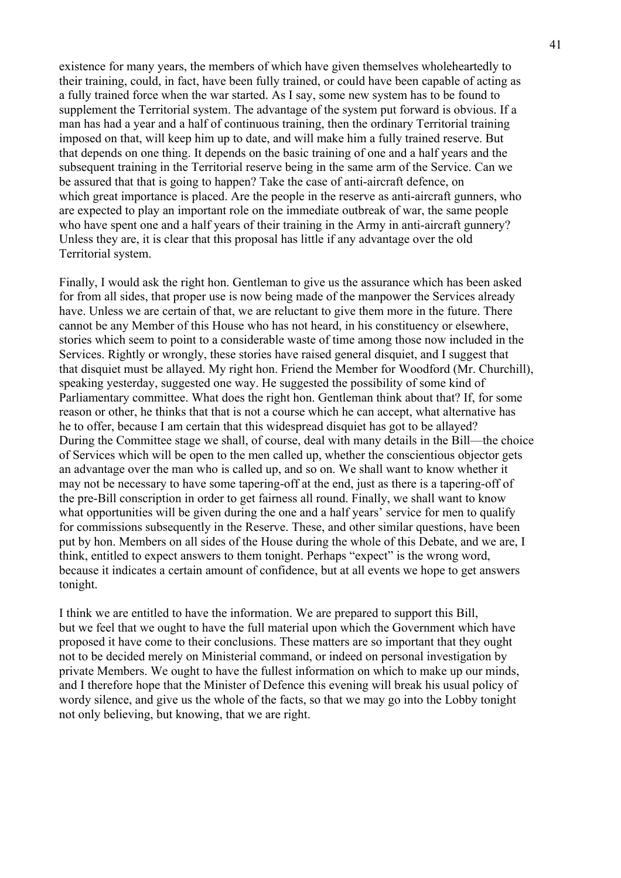existence for many years, the members of which have given themselves wholeheartedly to their training, could, in fact, have been fully trained, or could have been capable of acting as a fully trained force when the war started. As I say, some new system has to be found to supplement the Territorial system. The advantage of the system put forward is obvious. If a man has had a year and a half of continuous training, then the ordinary Territorial training imposed on that, will keep him up to date, and will make him a fully trained reserve. But that depends on one thing. It depends on the basic training of one and a half years and the subsequent training in the Territorial reserve being in the same arm of the Service. Can we be assured that that is going to happen? Take the case of anti-aircraft defence, on which great importance is placed. Are the people in the reserve as anti-aircraft gunners, who are expected to play an important role on the immediate outbreak of war, the same people who have spent one and a half years of their training in the Army in anti-aircraft gunnery? Unless they are, it is clear that this proposal has little if any advantage over the old Territorial system.

Finally, I would ask the right hon. Gentleman to give us the assurance which has been asked for from all sides, that proper use is now being made of the manpower the Services already have. Unless we are certain of that, we are reluctant to give them more in the future. There cannot be any Member of this House who has not heard, in his constituency or elsewhere, stories which seem to point to a considerable waste of time among those now included in the Services. Rightly or wrongly, these stories have raised general disquiet, and I suggest that that disquiet must be allayed. My right hon. Friend the Member for Woodford (Mr. Churchill), speaking yesterday, suggested one way. He suggested the possibility of some kind of Parliamentary committee. What does the right hon. Gentleman think about that? If, for some reason or other, he thinks that that is not a course which he can accept, what alternative has he to offer, because I am certain that this widespread disquiet has got to be allayed? During the Committee stage we shall, of course, deal with many details in the Bill—the choice of Services which will be open to the men called up, whether the conscientious objector gets an advantage over the man who is called up, and so on. We shall want to know whether it may not be necessary to have some tapering-off at the end, just as there is a tapering-off of the pre-Bill conscription in order to get fairness all round. Finally, we shall want to know what opportunities will be given during the one and a half years' service for men to qualify for commissions subsequently in the Reserve. These, and other similar questions, have been put by hon. Members on all sides of the House during the whole of this Debate, and we are, I think, entitled to expect answers to them tonight. Perhaps "expect" is the wrong word, because it indicates a certain amount of confidence, but at all events we hope to get answers tonight.

I think we are entitled to have the information. We are prepared to support this Bill, but we feel that we ought to have the full material upon which the Government which have proposed it have come to their conclusions. These matters are so important that they ought not to be decided merely on Ministerial command, or indeed on personal investigation by private Members. We ought to have the fullest information on which to make up our minds, and I therefore hope that the Minister of Defence this evening will break his usual policy of wordy silence, and give us the whole of the facts, so that we may go into the Lobby tonight not only believing, but knowing, that we are right.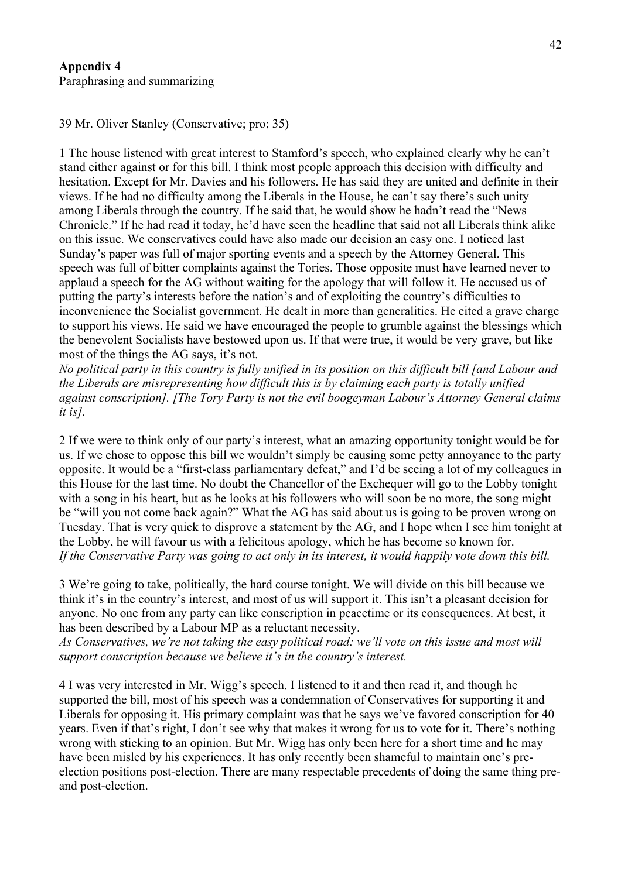39 Mr. Oliver Stanley (Conservative; pro; 35)

1 The house listened with great interest to Stamford's speech, who explained clearly why he can't stand either against or for this bill. I think most people approach this decision with difficulty and hesitation. Except for Mr. Davies and his followers. He has said they are united and definite in their views. If he had no difficulty among the Liberals in the House, he can't say there's such unity among Liberals through the country. If he said that, he would show he hadn't read the "News Chronicle." If he had read it today, he'd have seen the headline that said not all Liberals think alike on this issue. We conservatives could have also made our decision an easy one. I noticed last Sunday's paper was full of major sporting events and a speech by the Attorney General. This speech was full of bitter complaints against the Tories. Those opposite must have learned never to applaud a speech for the AG without waiting for the apology that will follow it. He accused us of putting the party's interests before the nation's and of exploiting the country's difficulties to inconvenience the Socialist government. He dealt in more than generalities. He cited a grave charge to support his views. He said we have encouraged the people to grumble against the blessings which the benevolent Socialists have bestowed upon us. If that were true, it would be very grave, but like most of the things the AG says, it's not.

*No political party in this country is fully unified in its position on this difficult bill [and Labour and the Liberals are misrepresenting how difficult this is by claiming each party is totally unified against conscription]. [The Tory Party is not the evil boogeyman Labour's Attorney General claims it is].*

2 If we were to think only of our party's interest, what an amazing opportunity tonight would be for us. If we chose to oppose this bill we wouldn't simply be causing some petty annoyance to the party opposite. It would be a "first-class parliamentary defeat," and I'd be seeing a lot of my colleagues in this House for the last time. No doubt the Chancellor of the Exchequer will go to the Lobby tonight with a song in his heart, but as he looks at his followers who will soon be no more, the song might be "will you not come back again?" What the AG has said about us is going to be proven wrong on Tuesday. That is very quick to disprove a statement by the AG, and I hope when I see him tonight at the Lobby, he will favour us with a felicitous apology, which he has become so known for. *If the Conservative Party was going to act only in its interest, it would happily vote down this bill.*

3 We're going to take, politically, the hard course tonight. We will divide on this bill because we think it's in the country's interest, and most of us will support it. This isn't a pleasant decision for anyone. No one from any party can like conscription in peacetime or its consequences. At best, it has been described by a Labour MP as a reluctant necessity.

*As Conservatives, we're not taking the easy political road: we'll vote on this issue and most will support conscription because we believe it's in the country's interest.*

4 I was very interested in Mr. Wigg's speech. I listened to it and then read it, and though he supported the bill, most of his speech was a condemnation of Conservatives for supporting it and Liberals for opposing it. His primary complaint was that he says we've favored conscription for 40 years. Even if that's right, I don't see why that makes it wrong for us to vote for it. There's nothing wrong with sticking to an opinion. But Mr. Wigg has only been here for a short time and he may have been misled by his experiences. It has only recently been shameful to maintain one's preelection positions post-election. There are many respectable precedents of doing the same thing preand post-election.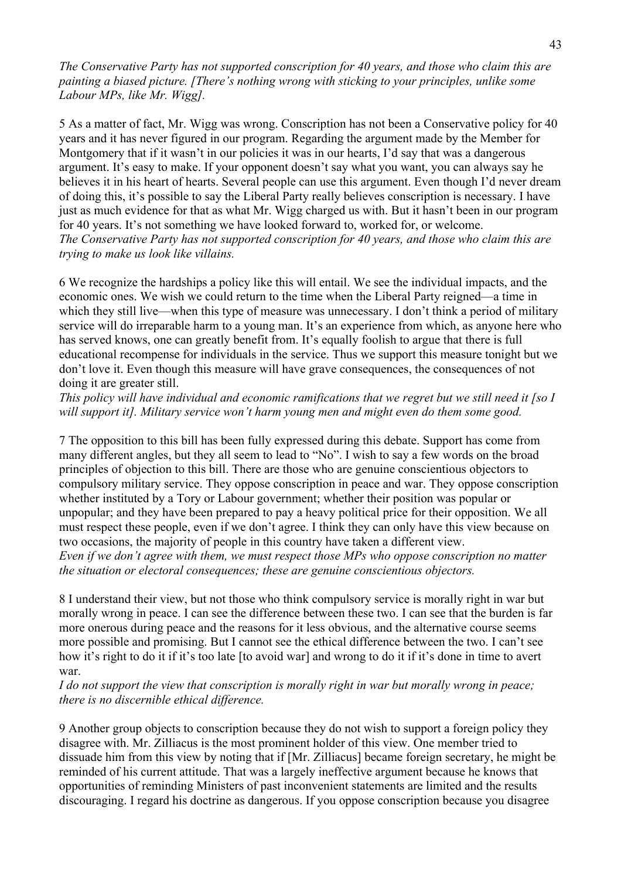*The Conservative Party has not supported conscription for 40 years, and those who claim this are painting a biased picture. [There's nothing wrong with sticking to your principles, unlike some Labour MPs, like Mr. Wigg].*

5 As a matter of fact, Mr. Wigg was wrong. Conscription has not been a Conservative policy for 40 years and it has never figured in our program. Regarding the argument made by the Member for Montgomery that if it wasn't in our policies it was in our hearts, I'd say that was a dangerous argument. It's easy to make. If your opponent doesn't say what you want, you can always say he believes it in his heart of hearts. Several people can use this argument. Even though I'd never dream of doing this, it's possible to say the Liberal Party really believes conscription is necessary. I have just as much evidence for that as what Mr. Wigg charged us with. But it hasn't been in our program for 40 years. It's not something we have looked forward to, worked for, or welcome. *The Conservative Party has not supported conscription for 40 years, and those who claim this are trying to make us look like villains.*

6 We recognize the hardships a policy like this will entail. We see the individual impacts, and the economic ones. We wish we could return to the time when the Liberal Party reigned—a time in which they still live—when this type of measure was unnecessary. I don't think a period of military service will do irreparable harm to a young man. It's an experience from which, as anyone here who has served knows, one can greatly benefit from. It's equally foolish to argue that there is full educational recompense for individuals in the service. Thus we support this measure tonight but we don't love it. Even though this measure will have grave consequences, the consequences of not doing it are greater still.

*This policy will have individual and economic ramifications that we regret but we still need it [so I will support it]. Military service won't harm young men and might even do them some good.* 

7 The opposition to this bill has been fully expressed during this debate. Support has come from many different angles, but they all seem to lead to "No". I wish to say a few words on the broad principles of objection to this bill. There are those who are genuine conscientious objectors to compulsory military service. They oppose conscription in peace and war. They oppose conscription whether instituted by a Tory or Labour government; whether their position was popular or unpopular; and they have been prepared to pay a heavy political price for their opposition. We all must respect these people, even if we don't agree. I think they can only have this view because on two occasions, the majority of people in this country have taken a different view. *Even if we don't agree with them, we must respect those MPs who oppose conscription no matter the situation or electoral consequences; these are genuine conscientious objectors.*

8 I understand their view, but not those who think compulsory service is morally right in war but morally wrong in peace. I can see the difference between these two. I can see that the burden is far more onerous during peace and the reasons for it less obvious, and the alternative course seems more possible and promising. But I cannot see the ethical difference between the two. I can't see how it's right to do it if it's too late [to avoid war] and wrong to do it if it's done in time to avert war.

### *I do not support the view that conscription is morally right in war but morally wrong in peace; there is no discernible ethical difference.*

9 Another group objects to conscription because they do not wish to support a foreign policy they disagree with. Mr. Zilliacus is the most prominent holder of this view. One member tried to dissuade him from this view by noting that if [Mr. Zilliacus] became foreign secretary, he might be reminded of his current attitude. That was a largely ineffective argument because he knows that opportunities of reminding Ministers of past inconvenient statements are limited and the results discouraging. I regard his doctrine as dangerous. If you oppose conscription because you disagree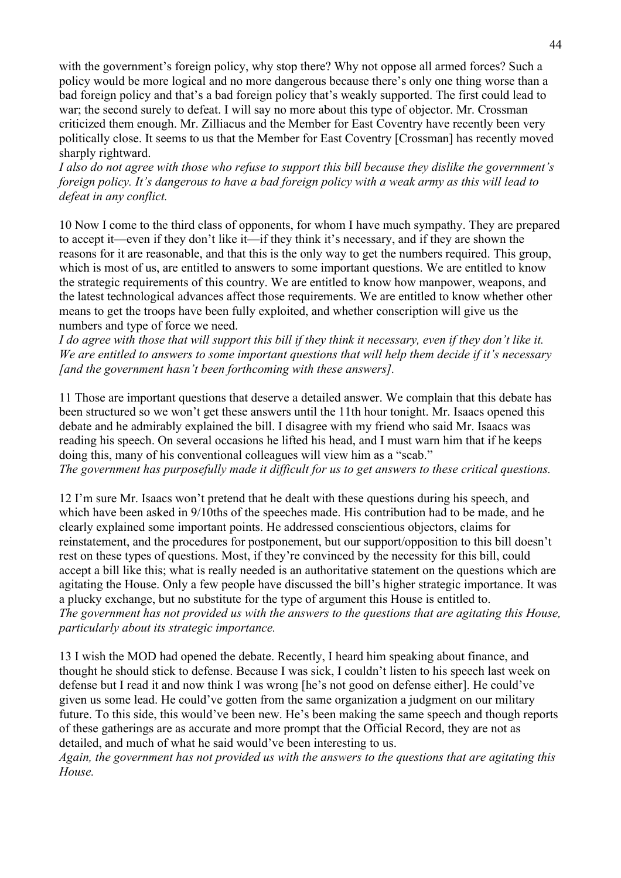with the government's foreign policy, why stop there? Why not oppose all armed forces? Such a policy would be more logical and no more dangerous because there's only one thing worse than a bad foreign policy and that's a bad foreign policy that's weakly supported. The first could lead to war; the second surely to defeat. I will say no more about this type of objector. Mr. Crossman criticized them enough. Mr. Zilliacus and the Member for East Coventry have recently been very politically close. It seems to us that the Member for East Coventry [Crossman] has recently moved sharply rightward.

*I also do not agree with those who refuse to support this bill because they dislike the government's foreign policy. It's dangerous to have a bad foreign policy with a weak army as this will lead to defeat in any conflict.* 

10 Now I come to the third class of opponents, for whom I have much sympathy. They are prepared to accept it—even if they don't like it—if they think it's necessary, and if they are shown the reasons for it are reasonable, and that this is the only way to get the numbers required. This group, which is most of us, are entitled to answers to some important questions. We are entitled to know the strategic requirements of this country. We are entitled to know how manpower, weapons, and the latest technological advances affect those requirements. We are entitled to know whether other means to get the troops have been fully exploited, and whether conscription will give us the numbers and type of force we need.

*I do agree with those that will support this bill if they think it necessary, even if they don't like it. We are entitled to answers to some important questions that will help them decide if it's necessary [and the government hasn't been forthcoming with these answers].*

11 Those are important questions that deserve a detailed answer. We complain that this debate has been structured so we won't get these answers until the 11th hour tonight. Mr. Isaacs opened this debate and he admirably explained the bill. I disagree with my friend who said Mr. Isaacs was reading his speech. On several occasions he lifted his head, and I must warn him that if he keeps doing this, many of his conventional colleagues will view him as a "scab." *The government has purposefully made it difficult for us to get answers to these critical questions.*

12 I'm sure Mr. Isaacs won't pretend that he dealt with these questions during his speech, and which have been asked in 9/10ths of the speeches made. His contribution had to be made, and he clearly explained some important points. He addressed conscientious objectors, claims for reinstatement, and the procedures for postponement, but our support/opposition to this bill doesn't rest on these types of questions. Most, if they're convinced by the necessity for this bill, could accept a bill like this; what is really needed is an authoritative statement on the questions which are agitating the House. Only a few people have discussed the bill's higher strategic importance. It was a plucky exchange, but no substitute for the type of argument this House is entitled to. *The government has not provided us with the answers to the questions that are agitating this House, particularly about its strategic importance.* 

13 I wish the MOD had opened the debate. Recently, I heard him speaking about finance, and thought he should stick to defense. Because I was sick, I couldn't listen to his speech last week on defense but I read it and now think I was wrong [he's not good on defense either]. He could've given us some lead. He could've gotten from the same organization a judgment on our military future. To this side, this would've been new. He's been making the same speech and though reports of these gatherings are as accurate and more prompt that the Official Record, they are not as detailed, and much of what he said would've been interesting to us.

*Again, the government has not provided us with the answers to the questions that are agitating this House.*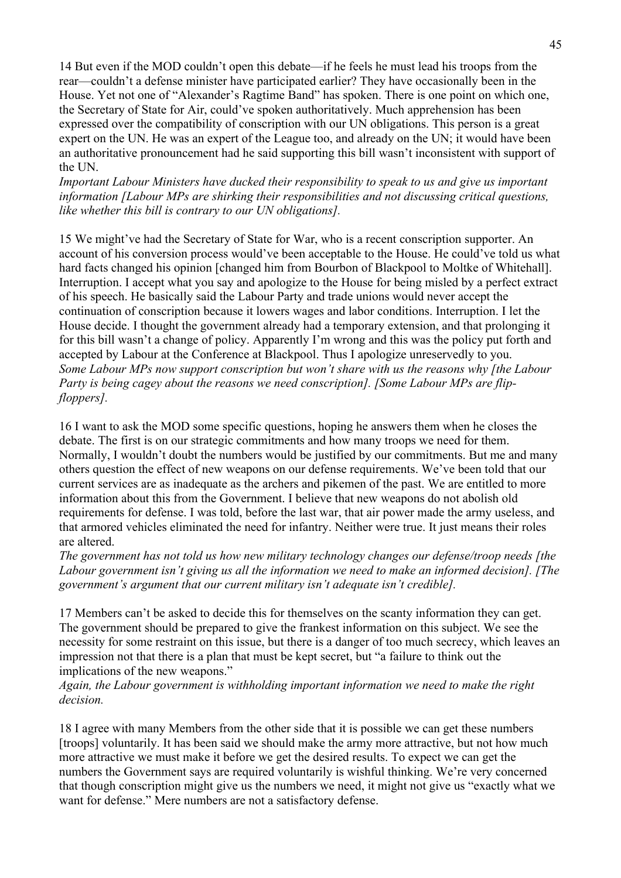14 But even if the MOD couldn't open this debate—if he feels he must lead his troops from the rear—couldn't a defense minister have participated earlier? They have occasionally been in the House. Yet not one of "Alexander's Ragtime Band" has spoken. There is one point on which one, the Secretary of State for Air, could've spoken authoritatively. Much apprehension has been expressed over the compatibility of conscription with our UN obligations. This person is a great expert on the UN. He was an expert of the League too, and already on the UN; it would have been an authoritative pronouncement had he said supporting this bill wasn't inconsistent with support of the UN.

*Important Labour Ministers have ducked their responsibility to speak to us and give us important information [Labour MPs are shirking their responsibilities and not discussing critical questions, like whether this bill is contrary to our UN obligations].* 

15 We might've had the Secretary of State for War, who is a recent conscription supporter. An account of his conversion process would've been acceptable to the House. He could've told us what hard facts changed his opinion [changed him from Bourbon of Blackpool to Moltke of Whitehall]. Interruption. I accept what you say and apologize to the House for being misled by a perfect extract of his speech. He basically said the Labour Party and trade unions would never accept the continuation of conscription because it lowers wages and labor conditions. Interruption. I let the House decide. I thought the government already had a temporary extension, and that prolonging it for this bill wasn't a change of policy. Apparently I'm wrong and this was the policy put forth and accepted by Labour at the Conference at Blackpool. Thus I apologize unreservedly to you. *Some Labour MPs now support conscription but won't share with us the reasons why [the Labour Party is being cagey about the reasons we need conscription]. [Some Labour MPs are flipfloppers].*

16 I want to ask the MOD some specific questions, hoping he answers them when he closes the debate. The first is on our strategic commitments and how many troops we need for them. Normally, I wouldn't doubt the numbers would be justified by our commitments. But me and many others question the effect of new weapons on our defense requirements. We've been told that our current services are as inadequate as the archers and pikemen of the past. We are entitled to more information about this from the Government. I believe that new weapons do not abolish old requirements for defense. I was told, before the last war, that air power made the army useless, and that armored vehicles eliminated the need for infantry. Neither were true. It just means their roles are altered.

*The government has not told us how new military technology changes our defense/troop needs [the Labour government isn't giving us all the information we need to make an informed decision]. [The government's argument that our current military isn't adequate isn't credible].*

17 Members can't be asked to decide this for themselves on the scanty information they can get. The government should be prepared to give the frankest information on this subject. We see the necessity for some restraint on this issue, but there is a danger of too much secrecy, which leaves an impression not that there is a plan that must be kept secret, but "a failure to think out the implications of the new weapons."

*Again, the Labour government is withholding important information we need to make the right decision.*

18 I agree with many Members from the other side that it is possible we can get these numbers [troops] voluntarily. It has been said we should make the army more attractive, but not how much more attractive we must make it before we get the desired results. To expect we can get the numbers the Government says are required voluntarily is wishful thinking. We're very concerned that though conscription might give us the numbers we need, it might not give us "exactly what we want for defense." Mere numbers are not a satisfactory defense.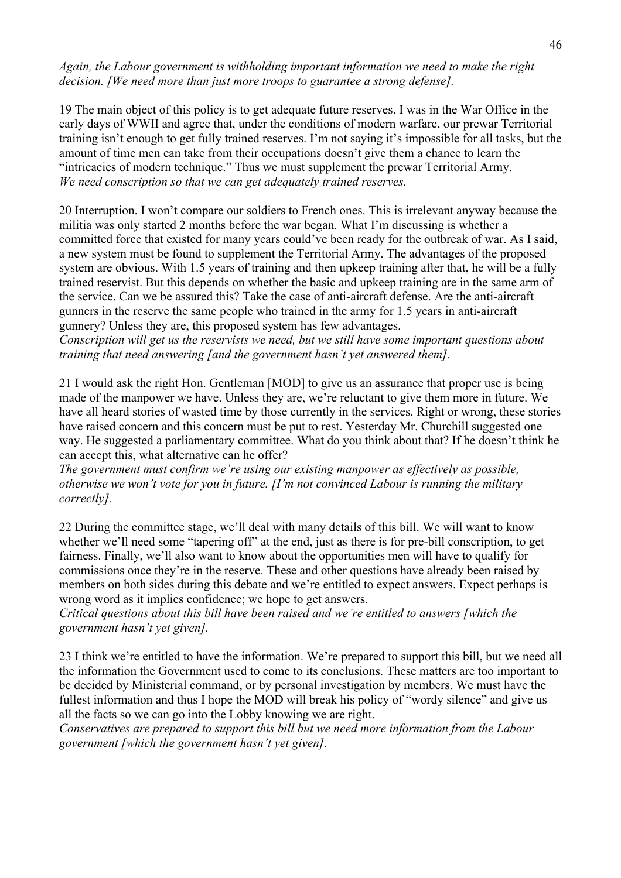*Again, the Labour government is withholding important information we need to make the right decision. [We need more than just more troops to guarantee a strong defense].*

19 The main object of this policy is to get adequate future reserves. I was in the War Office in the early days of WWII and agree that, under the conditions of modern warfare, our prewar Territorial training isn't enough to get fully trained reserves. I'm not saying it's impossible for all tasks, but the amount of time men can take from their occupations doesn't give them a chance to learn the "intricacies of modern technique." Thus we must supplement the prewar Territorial Army. *We need conscription so that we can get adequately trained reserves.*

20 Interruption. I won't compare our soldiers to French ones. This is irrelevant anyway because the militia was only started 2 months before the war began. What I'm discussing is whether a committed force that existed for many years could've been ready for the outbreak of war. As I said, a new system must be found to supplement the Territorial Army. The advantages of the proposed system are obvious. With 1.5 years of training and then upkeep training after that, he will be a fully trained reservist. But this depends on whether the basic and upkeep training are in the same arm of the service. Can we be assured this? Take the case of anti-aircraft defense. Are the anti-aircraft gunners in the reserve the same people who trained in the army for 1.5 years in anti-aircraft gunnery? Unless they are, this proposed system has few advantages.

*Conscription will get us the reservists we need, but we still have some important questions about training that need answering [and the government hasn't yet answered them].*

21 I would ask the right Hon. Gentleman [MOD] to give us an assurance that proper use is being made of the manpower we have. Unless they are, we're reluctant to give them more in future. We have all heard stories of wasted time by those currently in the services. Right or wrong, these stories have raised concern and this concern must be put to rest. Yesterday Mr. Churchill suggested one way. He suggested a parliamentary committee. What do you think about that? If he doesn't think he can accept this, what alternative can he offer?

*The government must confirm we're using our existing manpower as effectively as possible, otherwise we won't vote for you in future. [I'm not convinced Labour is running the military correctly].*

22 During the committee stage, we'll deal with many details of this bill. We will want to know whether we'll need some "tapering off" at the end, just as there is for pre-bill conscription, to get fairness. Finally, we'll also want to know about the opportunities men will have to qualify for commissions once they're in the reserve. These and other questions have already been raised by members on both sides during this debate and we're entitled to expect answers. Expect perhaps is wrong word as it implies confidence; we hope to get answers.

*Critical questions about this bill have been raised and we're entitled to answers [which the government hasn't yet given].*

23 I think we're entitled to have the information. We're prepared to support this bill, but we need all the information the Government used to come to its conclusions. These matters are too important to be decided by Ministerial command, or by personal investigation by members. We must have the fullest information and thus I hope the MOD will break his policy of "wordy silence" and give us all the facts so we can go into the Lobby knowing we are right.

*Conservatives are prepared to support this bill but we need more information from the Labour government [which the government hasn't yet given].*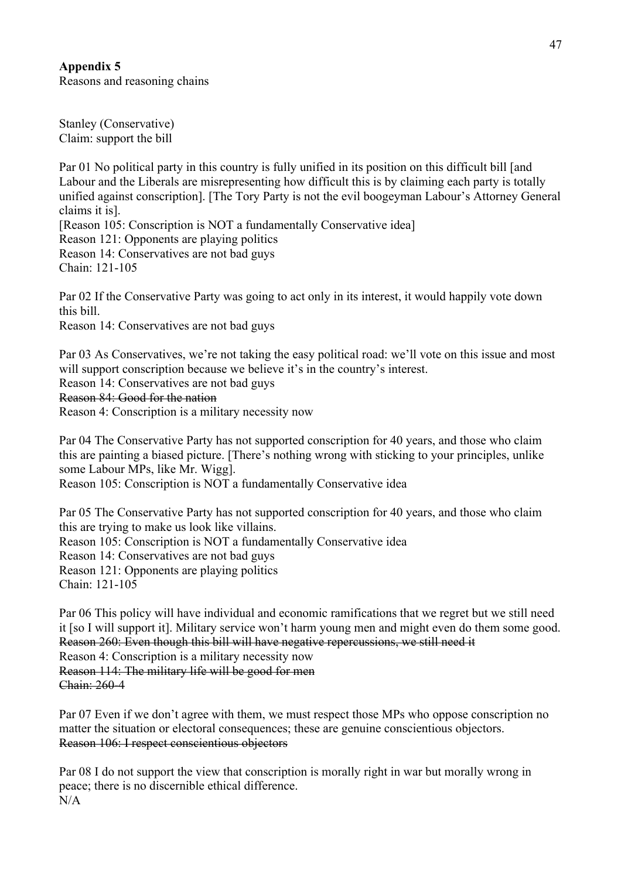# **Appendix 5** Reasons and reasoning chains

Stanley (Conservative) Claim: support the bill

Par 01 No political party in this country is fully unified in its position on this difficult bill [and Labour and the Liberals are misrepresenting how difficult this is by claiming each party is totally unified against conscription]. [The Tory Party is not the evil boogeyman Labour's Attorney General claims it is].

[Reason 105: Conscription is NOT a fundamentally Conservative idea] Reason 121: Opponents are playing politics Reason 14: Conservatives are not bad guys Chain: 121-105

Par 02 If the Conservative Party was going to act only in its interest, it would happily vote down this bill.

Reason 14: Conservatives are not bad guys

Par 03 As Conservatives, we're not taking the easy political road: we'll vote on this issue and most will support conscription because we believe it's in the country's interest. Reason 14: Conservatives are not bad guys Reason 84: Good for the nation Reason 4: Conscription is a military necessity now

Par 04 The Conservative Party has not supported conscription for 40 years, and those who claim this are painting a biased picture. [There's nothing wrong with sticking to your principles, unlike some Labour MPs, like Mr. Wigg].

Reason 105: Conscription is NOT a fundamentally Conservative idea

Par 05 The Conservative Party has not supported conscription for 40 years, and those who claim this are trying to make us look like villains. Reason 105: Conscription is NOT a fundamentally Conservative idea Reason 14: Conservatives are not bad guys Reason 121: Opponents are playing politics Chain: 121-105

Par 06 This policy will have individual and economic ramifications that we regret but we still need it [so I will support it]. Military service won't harm young men and might even do them some good. Reason 260: Even though this bill will have negative repercussions, we still need it

Reason 4: Conscription is a military necessity now Reason 114: The military life will be good for men Chain: 260-4

Par 07 Even if we don't agree with them, we must respect those MPs who oppose conscription no matter the situation or electoral consequences; these are genuine conscientious objectors. Reason 106: I respect conscientious objectors

Par 08 I do not support the view that conscription is morally right in war but morally wrong in peace; there is no discernible ethical difference. N/A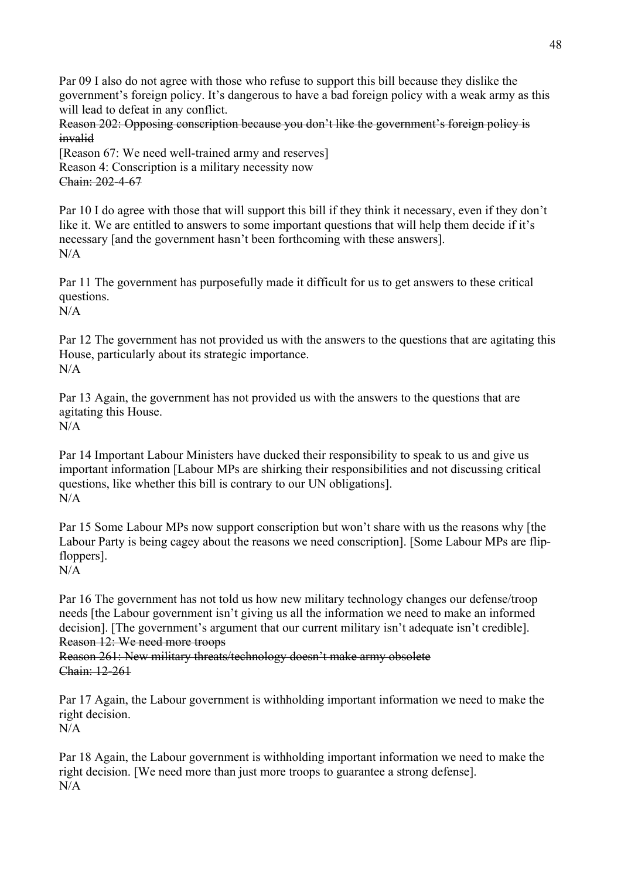Par 09 I also do not agree with those who refuse to support this bill because they dislike the government's foreign policy. It's dangerous to have a bad foreign policy with a weak army as this will lead to defeat in any conflict.

Reason 202: Opposing conscription because you don't like the government's foreign policy is invalid

[Reason 67: We need well-trained army and reserves] Reason 4: Conscription is a military necessity now Chain: 202-4-67

Par 10 I do agree with those that will support this bill if they think it necessary, even if they don't like it. We are entitled to answers to some important questions that will help them decide if it's necessary [and the government hasn't been forthcoming with these answers]. N/A

Par 11 The government has purposefully made it difficult for us to get answers to these critical questions.

 $N/A$ 

Par 12 The government has not provided us with the answers to the questions that are agitating this House, particularly about its strategic importance. N/A

Par 13 Again, the government has not provided us with the answers to the questions that are agitating this House. N/A

Par 14 Important Labour Ministers have ducked their responsibility to speak to us and give us important information [Labour MPs are shirking their responsibilities and not discussing critical questions, like whether this bill is contrary to our UN obligations].  $N/A$ 

Par 15 Some Labour MPs now support conscription but won't share with us the reasons why [the Labour Party is being cagey about the reasons we need conscription]. [Some Labour MPs are flipfloppers].

N/A

Par 16 The government has not told us how new military technology changes our defense/troop needs [the Labour government isn't giving us all the information we need to make an informed decision]. [The government's argument that our current military isn't adequate isn't credible]. Reason 12: We need more troops

Reason 261: New military threats/technology doesn't make army obsolete Chain: 12-261

Par 17 Again, the Labour government is withholding important information we need to make the right decision.  $N/A$ 

Par 18 Again, the Labour government is withholding important information we need to make the right decision. [We need more than just more troops to guarantee a strong defense]. N/A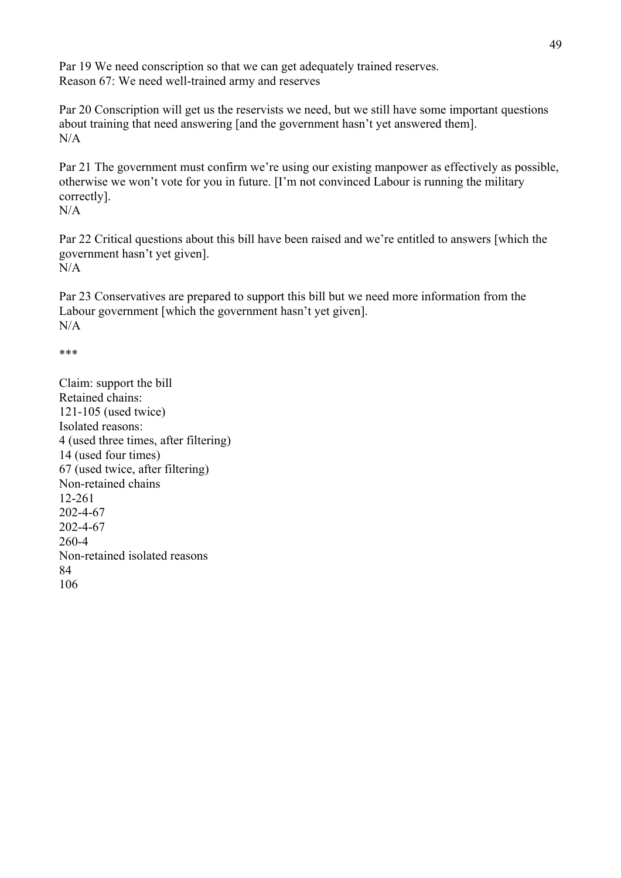Par 19 We need conscription so that we can get adequately trained reserves. Reason 67: We need well-trained army and reserves

Par 20 Conscription will get us the reservists we need, but we still have some important questions about training that need answering [and the government hasn't yet answered them].  $N/A$ 

Par 21 The government must confirm we're using our existing manpower as effectively as possible, otherwise we won't vote for you in future. [I'm not convinced Labour is running the military correctly].  $N/A$ 

Par 22 Critical questions about this bill have been raised and we're entitled to answers [which the government hasn't yet given]. N/A

Par 23 Conservatives are prepared to support this bill but we need more information from the Labour government [which the government hasn't yet given]. N/A

\*\*\*

Claim: support the bill Retained chains: 121-105 (used twice) Isolated reasons: 4 (used three times, after filtering) 14 (used four times) 67 (used twice, after filtering) Non-retained chains 12-261 202-4-67 202-4-67 260-4 Non-retained isolated reasons 84 106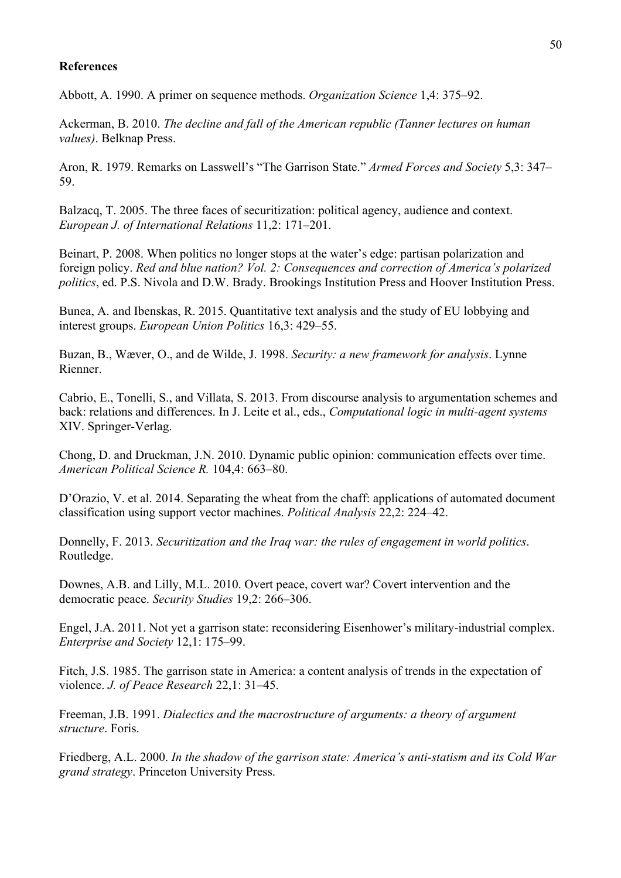## **References**

Abbott, A. 1990. A primer on sequence methods. *Organization Science* 1,4: 375–92.

Ackerman, B. 2010. *The decline and fall of the American republic (Tanner lectures on human values)*. Belknap Press.

Aron, R. 1979. Remarks on Lasswell's "The Garrison State." *Armed Forces and Society* 5,3: 347– 59.

Balzacq, T. 2005. The three faces of securitization: political agency, audience and context. *European J. of International Relations* 11,2: 171–201.

Beinart, P. 2008. When politics no longer stops at the water's edge: partisan polarization and foreign policy. *Red and blue nation? Vol. 2: Consequences and correction of America's polarized politics*, ed. P.S. Nivola and D.W. Brady. Brookings Institution Press and Hoover Institution Press.

Bunea, A. and Ibenskas, R. 2015. Quantitative text analysis and the study of EU lobbying and interest groups. *European Union Politics* 16,3: 429–55.

Buzan, B., Wæver, O., and de Wilde, J. 1998. *Security: a new framework for analysis*. Lynne Rienner.

Cabrio, E., Tonelli, S., and Villata, S. 2013. From discourse analysis to argumentation schemes and back: relations and differences. In J. Leite et al., eds., *Computational logic in multi-agent systems* XIV. Springer-Verlag.

Chong, D. and Druckman, J.N. 2010. Dynamic public opinion: communication effects over time. *American Political Science R.* 104,4: 663–80.

D'Orazio, V. et al. 2014. Separating the wheat from the chaff: applications of automated document classification using support vector machines. *Political Analysis* 22,2: 224–42.

Donnelly, F. 2013. *Securitization and the Iraq war: the rules of engagement in world politics*. Routledge.

Downes, A.B. and Lilly, M.L. 2010. Overt peace, covert war? Covert intervention and the democratic peace. *Security Studies* 19,2: 266–306.

Engel, J.A. 2011. Not yet a garrison state: reconsidering Eisenhower's military-industrial complex. *Enterprise and Society* 12,1: 175–99.

Fitch, J.S. 1985. The garrison state in America: a content analysis of trends in the expectation of violence. *J. of Peace Research* 22,1: 31–45.

Freeman, J.B. 1991. *Dialectics and the macrostructure of arguments: a theory of argument structure*. Foris.

Friedberg, A.L. 2000. *In the shadow of the garrison state: America's anti-statism and its Cold War grand strategy*. Princeton University Press.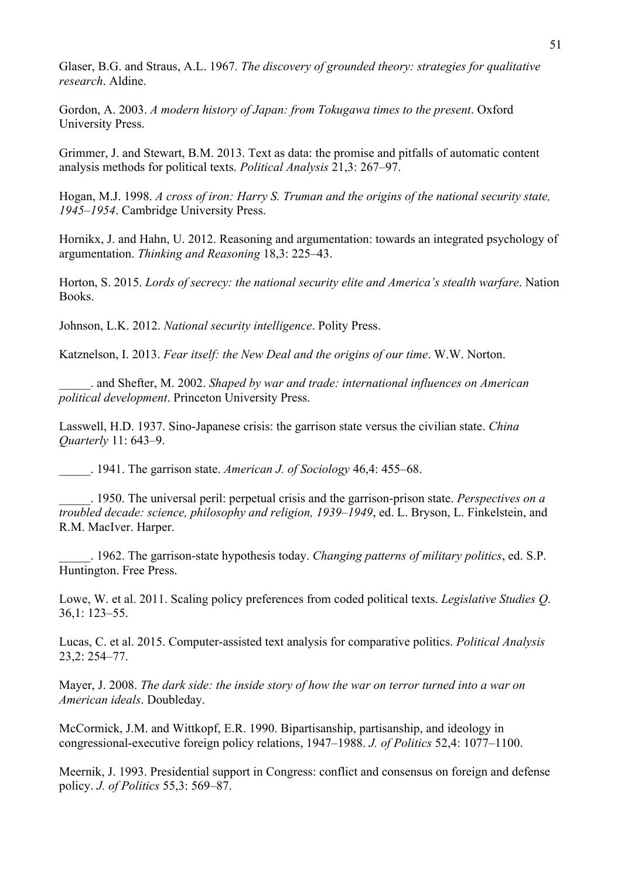Glaser, B.G. and Straus, A.L. 1967. *The discovery of grounded theory: strategies for qualitative research*. Aldine.

Gordon, A. 2003. *A modern history of Japan: from Tokugawa times to the present*. Oxford University Press.

Grimmer, J. and Stewart, B.M. 2013. Text as data: the promise and pitfalls of automatic content analysis methods for political texts. *Political Analysis* 21,3: 267–97.

Hogan, M.J. 1998. *A cross of iron: Harry S. Truman and the origins of the national security state, 1945–1954*. Cambridge University Press.

Hornikx, J. and Hahn, U. 2012. Reasoning and argumentation: towards an integrated psychology of argumentation. *Thinking and Reasoning* 18,3: 225–43.

Horton, S. 2015. *Lords of secrecy: the national security elite and America's stealth warfare*. Nation Books.

Johnson, L.K. 2012. *National security intelligence*. Polity Press.

Katznelson, I. 2013. *Fear itself: the New Deal and the origins of our time*. W.W. Norton.

\_\_\_\_\_. and Shefter, M. 2002. *Shaped by war and trade: international influences on American political development*. Princeton University Press.

Lasswell, H.D. 1937. Sino-Japanese crisis: the garrison state versus the civilian state. *China Quarterly* 11: 643–9.

\_\_\_\_\_. 1941. The garrison state. *American J. of Sociology* 46,4: 455–68.

\_\_\_\_\_. 1950. The universal peril: perpetual crisis and the garrison-prison state. *Perspectives on a troubled decade: science, philosophy and religion, 1939–1949*, ed. L. Bryson, L. Finkelstein, and R.M. MacIver. Harper.

\_\_\_\_\_. 1962. The garrison-state hypothesis today. *Changing patterns of military politics*, ed. S.P. Huntington. Free Press.

Lowe, W. et al. 2011. Scaling policy preferences from coded political texts. *Legislative Studies Q*. 36,1: 123–55.

Lucas, C. et al. 2015. Computer-assisted text analysis for comparative politics. *Political Analysis* 23,2: 254–77.

Mayer, J. 2008. *The dark side: the inside story of how the war on terror turned into a war on American ideals*. Doubleday.

McCormick, J.M. and Wittkopf, E.R. 1990. Bipartisanship, partisanship, and ideology in congressional-executive foreign policy relations, 1947–1988. *J. of Politics* 52,4: 1077–1100.

Meernik, J. 1993. Presidential support in Congress: conflict and consensus on foreign and defense policy. *J. of Politics* 55,3: 569–87.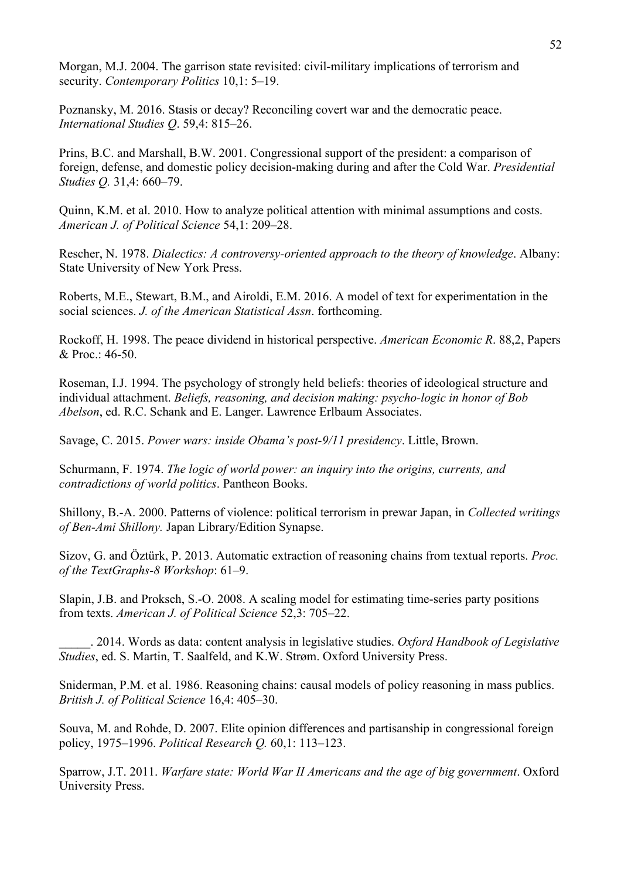Morgan, M.J. 2004. The garrison state revisited: civil-military implications of terrorism and security. *Contemporary Politics* 10,1: 5–19.

Poznansky, M. 2016. Stasis or decay? Reconciling covert war and the democratic peace. *International Studies Q*. 59,4: 815–26.

Prins, B.C. and Marshall, B.W. 2001. Congressional support of the president: a comparison of foreign, defense, and domestic policy decision-making during and after the Cold War. *Presidential Studies Q.* 31,4: 660–79.

Quinn, K.M. et al. 2010. How to analyze political attention with minimal assumptions and costs. *American J. of Political Science* 54,1: 209–28.

Rescher, N. 1978. *Dialectics: A controversy-oriented approach to the theory of knowledge*. Albany: State University of New York Press.

Roberts, M.E., Stewart, B.M., and Airoldi, E.M. 2016. A model of text for experimentation in the social sciences. *J. of the American Statistical Assn*. forthcoming.

Rockoff, H. 1998. The peace dividend in historical perspective. *American Economic R*. 88,2, Papers  $&$  Proc.: 46-50.

Roseman, I.J. 1994. The psychology of strongly held beliefs: theories of ideological structure and individual attachment. *Beliefs, reasoning, and decision making: psycho-logic in honor of Bob Abelson*, ed. R.C. Schank and E. Langer. Lawrence Erlbaum Associates.

Savage, C. 2015. *Power wars: inside Obama's post-9/11 presidency*. Little, Brown.

Schurmann, F. 1974. *The logic of world power: an inquiry into the origins, currents, and contradictions of world politics*. Pantheon Books.

Shillony, B.-A. 2000. Patterns of violence: political terrorism in prewar Japan, in *Collected writings of Ben-Ami Shillony.* Japan Library/Edition Synapse.

Sizov, G. and Öztürk, P. 2013. Automatic extraction of reasoning chains from textual reports. *Proc. of the TextGraphs-8 Workshop*: 61–9.

Slapin, J.B. and Proksch, S.-O. 2008. A scaling model for estimating time-series party positions from texts. *American J. of Political Science* 52,3: 705–22.

\_\_\_\_\_. 2014. Words as data: content analysis in legislative studies. *Oxford Handbook of Legislative Studies*, ed. S. Martin, T. Saalfeld, and K.W. Strøm. Oxford University Press.

Sniderman, P.M. et al. 1986. Reasoning chains: causal models of policy reasoning in mass publics. *British J. of Political Science* 16,4: 405–30.

Souva, M. and Rohde, D. 2007. Elite opinion differences and partisanship in congressional foreign policy, 1975–1996. *Political Research Q.* 60,1: 113–123.

Sparrow, J.T. 2011. *Warfare state: World War II Americans and the age of big government*. Oxford University Press.